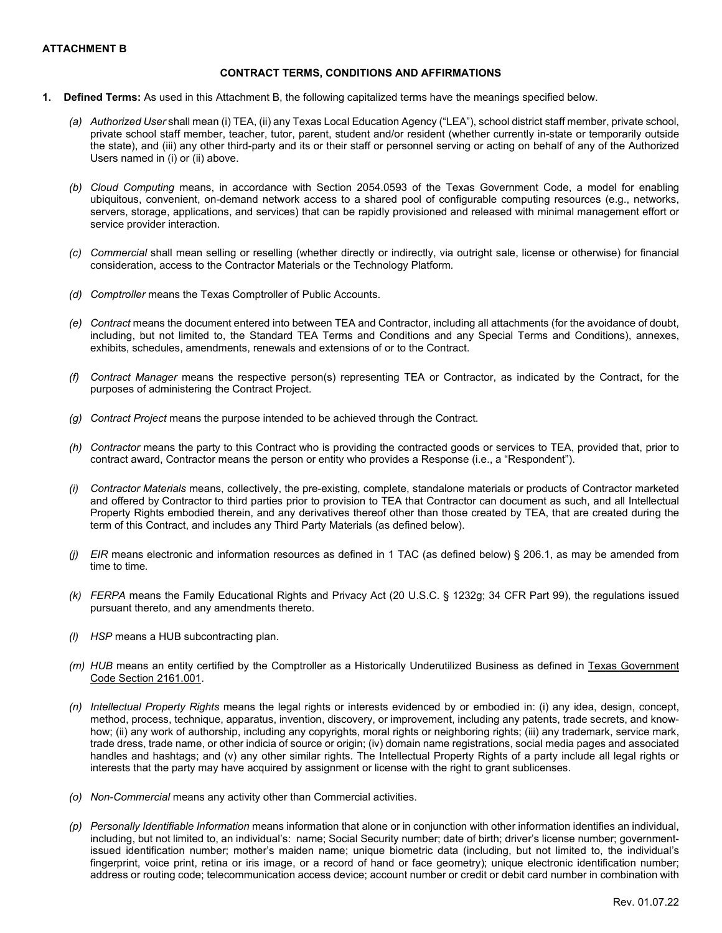### **ATTACHMENT B**

#### **CONTRACT TERMS, CONDITIONS AND AFFIRMATIONS**

- **1. Defined Terms:** As used in this Attachment B, the following capitalized terms have the meanings specified below.
	- *(a) Authorized User* shall mean (i) TEA, (ii) any Texas Local Education Agency ("LEA"), school district staff member, private school, private school staff member, teacher, tutor, parent, student and/or resident (whether currently in-state or temporarily outside the state), and (iii) any other third-party and its or their staff or personnel serving or acting on behalf of any of the Authorized Users named in (i) or (ii) above.
	- *(b) Cloud Computing* means, in accordance with Section 2054.0593 of the Texas Government Code, a model for enabling ubiquitous, convenient, on-demand network access to a shared pool of configurable computing resources (e.g., networks, servers, storage, applications, and services) that can be rapidly provisioned and released with minimal management effort or service provider interaction.
	- *(c) Commercial* shall mean selling or reselling (whether directly or indirectly, via outright sale, license or otherwise) for financial consideration, access to the Contractor Materials or the Technology Platform*.*
	- *(d) Comptroller* means the Texas Comptroller of Public Accounts.
	- *(e) Contract* means the document entered into between TEA and Contractor, including all attachments (for the avoidance of doubt, including, but not limited to, the Standard TEA Terms and Conditions and any Special Terms and Conditions), annexes, exhibits, schedules, amendments, renewals and extensions of or to the Contract.
	- *(f) Contract Manager* means the respective person(s) representing TEA or Contractor, as indicated by the Contract, for the purposes of administering the Contract Project.
	- *(g) Contract Project* means the purpose intended to be achieved through the Contract.
	- *(h) Contractor* means the party to this Contract who is providing the contracted goods or services to TEA, provided that, prior to contract award, Contractor means the person or entity who provides a Response (i.e., a "Respondent").
	- *(i) Contractor Materials* means, collectively, the pre-existing, complete, standalone materials or products of Contractor marketed and offered by Contractor to third parties prior to provision to TEA that Contractor can document as such, and all Intellectual Property Rights embodied therein, and any derivatives thereof other than those created by TEA, that are created during the term of this Contract, and includes any Third Party Materials (as defined below).
	- *(j) EIR* means electronic and information resources as defined in 1 TAC (as defined below) § 206.1, as may be amended from time to time*.*
	- *(k) FERPA* means the Family Educational Rights and Privacy Act (20 U.S.C. § 1232g; 34 CFR Part 99), the regulations issued pursuant thereto, and any amendments thereto.
	- *(l) HSP* means a HUB subcontracting plan.
	- *(m) HUB* means an entity certified by the Comptroller as a Historically Underutilized Business as defined in [Texas Government](https://statutes.capitol.texas.gov/Docs/GV/htm/GV.2161.htm)  [Code Section 2161.001.](https://statutes.capitol.texas.gov/Docs/GV/htm/GV.2161.htm)
	- *(n) Intellectual Property Rights* means the legal rights or interests evidenced by or embodied in: (i) any idea, design, concept, method, process, technique, apparatus, invention, discovery, or improvement, including any patents, trade secrets, and knowhow; (ii) any work of authorship, including any copyrights, moral rights or neighboring rights; (iii) any trademark, service mark, trade dress, trade name, or other indicia of source or origin; (iv) domain name registrations, social media pages and associated handles and hashtags; and (v) any other similar rights. The Intellectual Property Rights of a party include all legal rights or interests that the party may have acquired by assignment or license with the right to grant sublicenses.
	- *(o) Non-Commercial* means any activity other than Commercial activities.
	- *(p) Personally Identifiable Information* means information that alone or in conjunction with other information identifies an individual, including, but not limited to, an individual's: name; Social Security number; date of birth; driver's license number; governmentissued identification number; mother's maiden name; unique biometric data (including, but not limited to, the individual's fingerprint, voice print, retina or iris image, or a record of hand or face geometry); unique electronic identification number; address or routing code; telecommunication access device; account number or credit or debit card number in combination with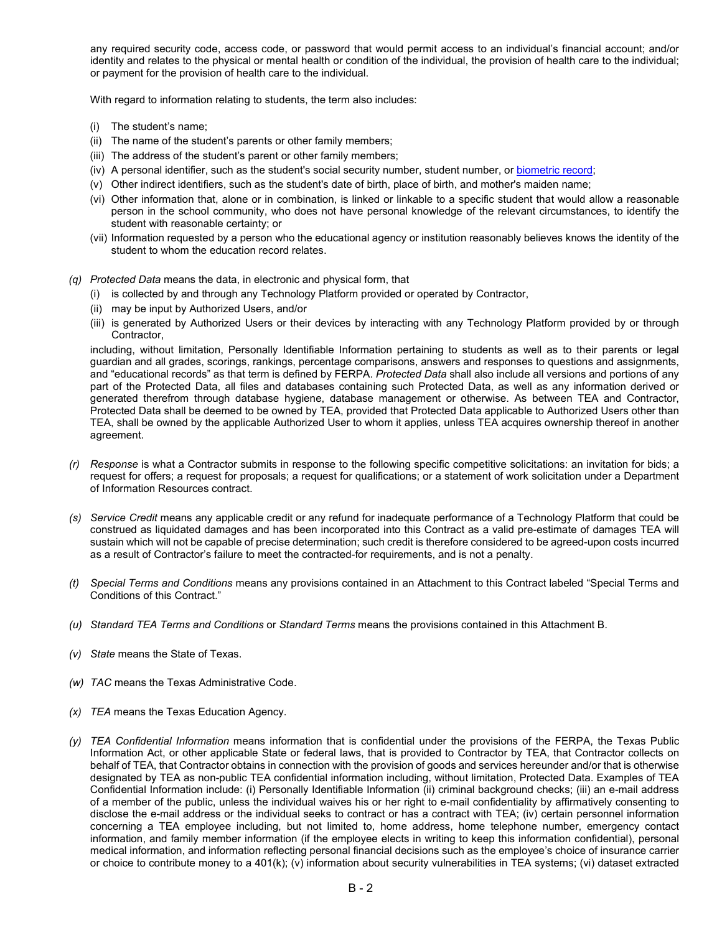any required security code, access code, or password that would permit access to an individual's financial account; and/or identity and relates to the physical or mental health or condition of the individual, the provision of health care to the individual; or payment for the provision of health care to the individual.

With regard to information relating to students, the term also includes:

- (i) The student's name;
- (ii) The name of the student's parents or other family members;
- (iii) The address of the student's parent or other family members;
- (iv) A personal identifier, such as the student's social security number, student number, or [biometric record;](https://www.law.cornell.edu/definitions/index.php?width=840&height=800&iframe=true&def_id=33f96bd2e3b7de056caa1193c3ab8ec6&term_occur=999&term_src=Title:34:Subtitle:A:Part:99:Subpart:A:99.3)
- (v) Other indirect identifiers, such as the student's date of birth, place of birth, and mother's maiden name;
- (vi) Other information that, alone or in combination, is linked or linkable to a specific student that would allow a reasonable person in the school community, who does not have personal knowledge of the relevant circumstances, to identify the student with reasonable certainty; or
- (vii) Information requested by a person who the educational agency or institution reasonably believes knows the identity of the student to whom the education record relates.
- *(q) Protected Data* means the data, in electronic and physical form, that
	- (i) is collected by and through any Technology Platform provided or operated by Contractor,
	- (ii) may be input by Authorized Users, and/or
	- (iii) is generated by Authorized Users or their devices by interacting with any Technology Platform provided by or through Contractor,

including, without limitation, Personally Identifiable Information pertaining to students as well as to their parents or legal guardian and all grades, scorings, rankings, percentage comparisons, answers and responses to questions and assignments, and "educational records" as that term is defined by FERPA. *Protected Data* shall also include all versions and portions of any part of the Protected Data, all files and databases containing such Protected Data, as well as any information derived or generated therefrom through database hygiene, database management or otherwise. As between TEA and Contractor, Protected Data shall be deemed to be owned by TEA, provided that Protected Data applicable to Authorized Users other than TEA, shall be owned by the applicable Authorized User to whom it applies, unless TEA acquires ownership thereof in another agreement.

- *(r) Response* is what a Contractor submits in response to the following specific competitive solicitations: an invitation for bids; a request for offers; a request for proposals; a request for qualifications; or a statement of work solicitation under a Department of Information Resources contract.
- *(s) Service Credit* means any applicable credit or any refund for inadequate performance of a Technology Platform that could be construed as liquidated damages and has been incorporated into this Contract as a valid pre-estimate of damages TEA will sustain which will not be capable of precise determination; such credit is therefore considered to be agreed-upon costs incurred as a result of Contractor's failure to meet the contracted-for requirements, and is not a penalty.
- *(t) Special Terms and Conditions* means any provisions contained in an Attachment to this Contract labeled "Special Terms and Conditions of this Contract."
- *(u) Standard TEA Terms and Conditions* or *Standard Terms* means the provisions contained in this Attachment B.
- *(v) State* means the State of Texas.
- *(w) TAC* means the Texas Administrative Code.
- *(x) TEA* means the Texas Education Agency.
- *(y) TEA Confidential Information* means information that is confidential under the provisions of the FERPA, the Texas Public Information Act, or other applicable State or federal laws, that is provided to Contractor by TEA, that Contractor collects on behalf of TEA, that Contractor obtains in connection with the provision of goods and services hereunder and/or that is otherwise designated by TEA as non-public TEA confidential information including, without limitation, Protected Data. Examples of TEA Confidential Information include: (i) Personally Identifiable Information (ii) criminal background checks; (iii) an e-mail address of a member of the public, unless the individual waives his or her right to e-mail confidentiality by affirmatively consenting to disclose the e-mail address or the individual seeks to contract or has a contract with TEA; (iv) certain personnel information concerning a TEA employee including, but not limited to, home address, home telephone number, emergency contact information, and family member information (if the employee elects in writing to keep this information confidential), personal medical information, and information reflecting personal financial decisions such as the employee's choice of insurance carrier or choice to contribute money to a 401(k); (v) information about security vulnerabilities in TEA systems; (vi) dataset extracted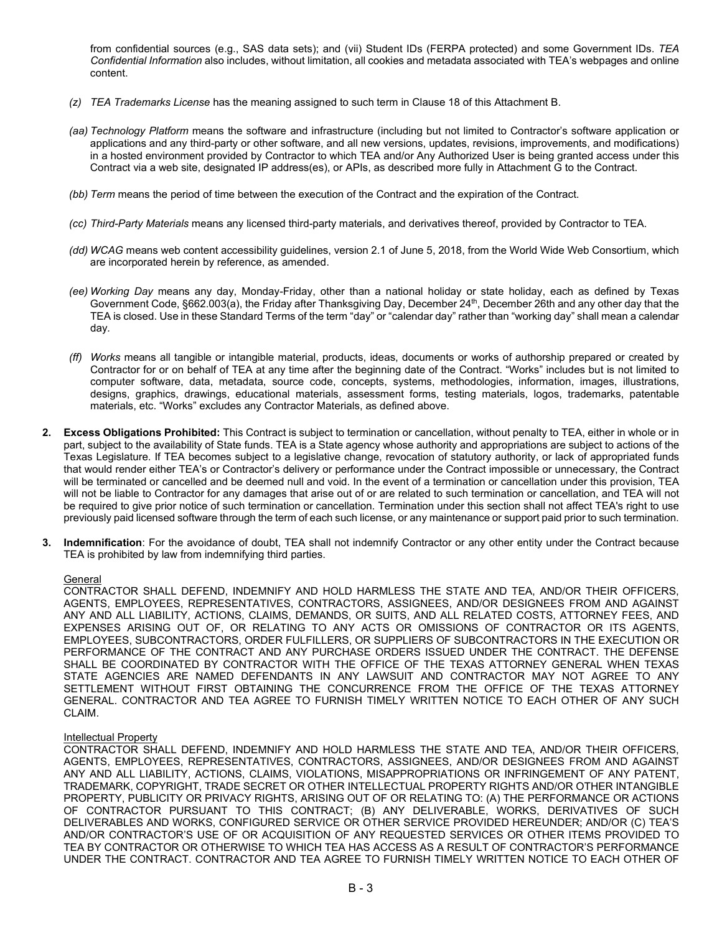from confidential sources (e.g., SAS data sets); and (vii) Student IDs (FERPA protected) and some Government IDs. *TEA Confidential Information* also includes, without limitation, all cookies and metadata associated with TEA's webpages and online content.

- *(z) TEA Trademarks License* has the meaning assigned to such term in Clause 18 of this Attachment B.
- *(aa) Technology Platform* means the software and infrastructure (including but not limited to Contractor's software application or applications and any third-party or other software, and all new versions, updates, revisions, improvements, and modifications) in a hosted environment provided by Contractor to which TEA and/or Any Authorized User is being granted access under this Contract via a web site, designated IP address(es), or APIs, as described more fully in Attachment G to the Contract.
- *(bb) Term* means the period of time between the execution of the Contract and the expiration of the Contract.
- *(cc) Third-Party Materials* means any licensed third-party materials, and derivatives thereof, provided by Contractor to TEA.
- *(dd) WCAG* means web content accessibility guidelines, version 2.1 of June 5, 2018, from the World Wide Web Consortium, which are incorporated herein by reference, as amended.
- *(ee) Working Day* means any day, Monday-Friday, other than a national holiday or state holiday, each as defined by Texas Government Code, §662.003(a), the Friday after Thanksgiving Day, December 24th, December 26th and any other day that the TEA is closed. Use in these Standard Terms of the term "day" or "calendar day" rather than "working day" shall mean a calendar day*.*
- *(ff) Works* means all tangible or intangible material, products, ideas, documents or works of authorship prepared or created by Contractor for or on behalf of TEA at any time after the beginning date of the Contract. "Works" includes but is not limited to computer software, data, metadata, source code, concepts, systems, methodologies, information, images, illustrations, designs, graphics, drawings, educational materials, assessment forms, testing materials, logos, trademarks, patentable materials, etc. "Works" excludes any Contractor Materials, as defined above.
- **2. Excess Obligations Prohibited:** This Contract is subject to termination or cancellation, without penalty to TEA, either in whole or in part, subject to the availability of State funds. TEA is a State agency whose authority and appropriations are subject to actions of the Texas Legislature. If TEA becomes subject to a legislative change, revocation of statutory authority, or lack of appropriated funds that would render either TEA's or Contractor's delivery or performance under the Contract impossible or unnecessary, the Contract will be terminated or cancelled and be deemed null and void. In the event of a termination or cancellation under this provision, TEA will not be liable to Contractor for any damages that arise out of or are related to such termination or cancellation, and TEA will not be required to give prior notice of such termination or cancellation. Termination under this section shall not affect TEA's right to use previously paid licensed software through the term of each such license, or any maintenance or support paid prior to such termination.
- **3. Indemnification**: For the avoidance of doubt, TEA shall not indemnify Contractor or any other entity under the Contract because TEA is prohibited by law from indemnifying third parties.

### **General**

CONTRACTOR SHALL DEFEND, INDEMNIFY AND HOLD HARMLESS THE STATE AND TEA, AND/OR THEIR OFFICERS, AGENTS, EMPLOYEES, REPRESENTATIVES, CONTRACTORS, ASSIGNEES, AND/OR DESIGNEES FROM AND AGAINST ANY AND ALL LIABILITY, ACTIONS, CLAIMS, DEMANDS, OR SUITS, AND ALL RELATED COSTS, ATTORNEY FEES, AND EXPENSES ARISING OUT OF, OR RELATING TO ANY ACTS OR OMISSIONS OF CONTRACTOR OR ITS AGENTS, EMPLOYEES, SUBCONTRACTORS, ORDER FULFILLERS, OR SUPPLIERS OF SUBCONTRACTORS IN THE EXECUTION OR PERFORMANCE OF THE CONTRACT AND ANY PURCHASE ORDERS ISSUED UNDER THE CONTRACT. THE DEFENSE SHALL BE COORDINATED BY CONTRACTOR WITH THE OFFICE OF THE TEXAS ATTORNEY GENERAL WHEN TEXAS STATE AGENCIES ARE NAMED DEFENDANTS IN ANY LAWSUIT AND CONTRACTOR MAY NOT AGREE TO ANY SETTLEMENT WITHOUT FIRST OBTAINING THE CONCURRENCE FROM THE OFFICE OF THE TEXAS ATTORNEY GENERAL. CONTRACTOR AND TEA AGREE TO FURNISH TIMELY WRITTEN NOTICE TO EACH OTHER OF ANY SUCH CLAIM.

### Intellectual Property

CONTRACTOR SHALL DEFEND, INDEMNIFY AND HOLD HARMLESS THE STATE AND TEA, AND/OR THEIR OFFICERS, AGENTS, EMPLOYEES, REPRESENTATIVES, CONTRACTORS, ASSIGNEES, AND/OR DESIGNEES FROM AND AGAINST ANY AND ALL LIABILITY, ACTIONS, CLAIMS, VIOLATIONS, MISAPPROPRIATIONS OR INFRINGEMENT OF ANY PATENT, TRADEMARK, COPYRIGHT, TRADE SECRET OR OTHER INTELLECTUAL PROPERTY RIGHTS AND/OR OTHER INTANGIBLE PROPERTY, PUBLICITY OR PRIVACY RIGHTS, ARISING OUT OF OR RELATING TO: (A) THE PERFORMANCE OR ACTIONS OF CONTRACTOR PURSUANT TO THIS CONTRACT; (B) ANY DELIVERABLE, WORKS, DERIVATIVES OF SUCH DELIVERABLES AND WORKS, CONFIGURED SERVICE OR OTHER SERVICE PROVIDED HEREUNDER; AND/OR (C) TEA'S AND/OR CONTRACTOR'S USE OF OR ACQUISITION OF ANY REQUESTED SERVICES OR OTHER ITEMS PROVIDED TO TEA BY CONTRACTOR OR OTHERWISE TO WHICH TEA HAS ACCESS AS A RESULT OF CONTRACTOR'S PERFORMANCE UNDER THE CONTRACT. CONTRACTOR AND TEA AGREE TO FURNISH TIMELY WRITTEN NOTICE TO EACH OTHER OF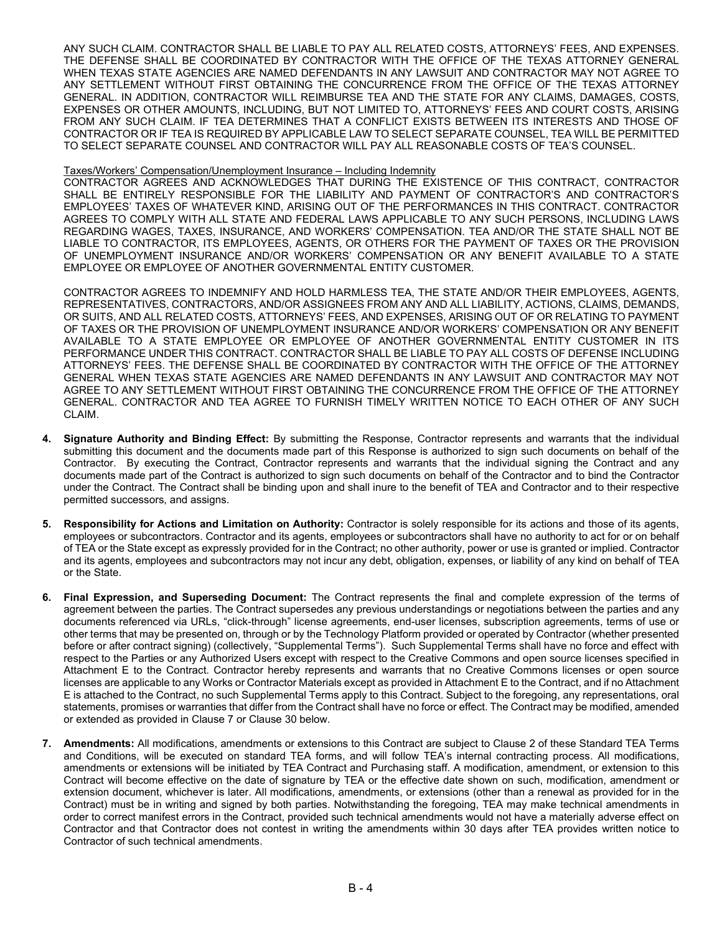ANY SUCH CLAIM. CONTRACTOR SHALL BE LIABLE TO PAY ALL RELATED COSTS, ATTORNEYS' FEES, AND EXPENSES. THE DEFENSE SHALL BE COORDINATED BY CONTRACTOR WITH THE OFFICE OF THE TEXAS ATTORNEY GENERAL WHEN TEXAS STATE AGENCIES ARE NAMED DEFENDANTS IN ANY LAWSUIT AND CONTRACTOR MAY NOT AGREE TO ANY SETTLEMENT WITHOUT FIRST OBTAINING THE CONCURRENCE FROM THE OFFICE OF THE TEXAS ATTORNEY GENERAL. IN ADDITION, CONTRACTOR WILL REIMBURSE TEA AND THE STATE FOR ANY CLAIMS, DAMAGES, COSTS, EXPENSES OR OTHER AMOUNTS, INCLUDING, BUT NOT LIMITED TO, ATTORNEYS' FEES AND COURT COSTS, ARISING FROM ANY SUCH CLAIM. IF TEA DETERMINES THAT A CONFLICT EXISTS BETWEEN ITS INTERESTS AND THOSE OF CONTRACTOR OR IF TEA IS REQUIRED BY APPLICABLE LAW TO SELECT SEPARATE COUNSEL, TEA WILL BE PERMITTED TO SELECT SEPARATE COUNSEL AND CONTRACTOR WILL PAY ALL REASONABLE COSTS OF TEA'S COUNSEL.

#### Taxes/Workers' Compensation/Unemployment Insurance – Including Indemnity

CONTRACTOR AGREES AND ACKNOWLEDGES THAT DURING THE EXISTENCE OF THIS CONTRACT, CONTRACTOR SHALL BE ENTIRELY RESPONSIBLE FOR THE LIABILITY AND PAYMENT OF CONTRACTOR'S AND CONTRACTOR'S EMPLOYEES' TAXES OF WHATEVER KIND, ARISING OUT OF THE PERFORMANCES IN THIS CONTRACT. CONTRACTOR AGREES TO COMPLY WITH ALL STATE AND FEDERAL LAWS APPLICABLE TO ANY SUCH PERSONS, INCLUDING LAWS REGARDING WAGES, TAXES, INSURANCE, AND WORKERS' COMPENSATION. TEA AND/OR THE STATE SHALL NOT BE LIABLE TO CONTRACTOR, ITS EMPLOYEES, AGENTS, OR OTHERS FOR THE PAYMENT OF TAXES OR THE PROVISION OF UNEMPLOYMENT INSURANCE AND/OR WORKERS' COMPENSATION OR ANY BENEFIT AVAILABLE TO A STATE EMPLOYEE OR EMPLOYEE OF ANOTHER GOVERNMENTAL ENTITY CUSTOMER.

CONTRACTOR AGREES TO INDEMNIFY AND HOLD HARMLESS TEA, THE STATE AND/OR THEIR EMPLOYEES, AGENTS, REPRESENTATIVES, CONTRACTORS, AND/OR ASSIGNEES FROM ANY AND ALL LIABILITY, ACTIONS, CLAIMS, DEMANDS, OR SUITS, AND ALL RELATED COSTS, ATTORNEYS' FEES, AND EXPENSES, ARISING OUT OF OR RELATING TO PAYMENT OF TAXES OR THE PROVISION OF UNEMPLOYMENT INSURANCE AND/OR WORKERS' COMPENSATION OR ANY BENEFIT AVAILABLE TO A STATE EMPLOYEE OR EMPLOYEE OF ANOTHER GOVERNMENTAL ENTITY CUSTOMER IN ITS PERFORMANCE UNDER THIS CONTRACT. CONTRACTOR SHALL BE LIABLE TO PAY ALL COSTS OF DEFENSE INCLUDING ATTORNEYS' FEES. THE DEFENSE SHALL BE COORDINATED BY CONTRACTOR WITH THE OFFICE OF THE ATTORNEY GENERAL WHEN TEXAS STATE AGENCIES ARE NAMED DEFENDANTS IN ANY LAWSUIT AND CONTRACTOR MAY NOT AGREE TO ANY SETTLEMENT WITHOUT FIRST OBTAINING THE CONCURRENCE FROM THE OFFICE OF THE ATTORNEY GENERAL. CONTRACTOR AND TEA AGREE TO FURNISH TIMELY WRITTEN NOTICE TO EACH OTHER OF ANY SUCH CLAIM.

- **4. Signature Authority and Binding Effect:** By submitting the Response, Contractor represents and warrants that the individual submitting this document and the documents made part of this Response is authorized to sign such documents on behalf of the Contractor. By executing the Contract, Contractor represents and warrants that the individual signing the Contract and any documents made part of the Contract is authorized to sign such documents on behalf of the Contractor and to bind the Contractor under the Contract. The Contract shall be binding upon and shall inure to the benefit of TEA and Contractor and to their respective permitted successors, and assigns.
- **5. Responsibility for Actions and Limitation on Authority:** Contractor is solely responsible for its actions and those of its agents, employees or subcontractors. Contractor and its agents, employees or subcontractors shall have no authority to act for or on behalf of TEA or the State except as expressly provided for in the Contract; no other authority, power or use is granted or implied. Contractor and its agents, employees and subcontractors may not incur any debt, obligation, expenses, or liability of any kind on behalf of TEA or the State.
- **6. Final Expression, and Superseding Document:** The Contract represents the final and complete expression of the terms of agreement between the parties. The Contract supersedes any previous understandings or negotiations between the parties and any documents referenced via URLs, "click-through" license agreements, end-user licenses, subscription agreements, terms of use or other terms that may be presented on, through or by the Technology Platform provided or operated by Contractor (whether presented before or after contract signing) (collectively, "Supplemental Terms"). Such Supplemental Terms shall have no force and effect with respect to the Parties or any Authorized Users except with respect to the Creative Commons and open source licenses specified in Attachment E to the Contract. Contractor hereby represents and warrants that no Creative Commons licenses or open source licenses are applicable to any Works or Contractor Materials except as provided in Attachment E to the Contract, and if no Attachment E is attached to the Contract, no such Supplemental Terms apply to this Contract. Subject to the foregoing, any representations, oral statements, promises or warranties that differ from the Contract shall have no force or effect. The Contract may be modified, amended or extended as provided in Clause 7 or Clause 30 below.
- **7. Amendments:** All modifications, amendments or extensions to this Contract are subject to Clause 2 of these Standard TEA Terms and Conditions, will be executed on standard TEA forms, and will follow TEA's internal contracting process. All modifications, amendments or extensions will be initiated by TEA Contract and Purchasing staff. A modification, amendment, or extension to this Contract will become effective on the date of signature by TEA or the effective date shown on such, modification, amendment or extension document, whichever is later. All modifications, amendments, or extensions (other than a renewal as provided for in the Contract) must be in writing and signed by both parties. Notwithstanding the foregoing, TEA may make technical amendments in order to correct manifest errors in the Contract, provided such technical amendments would not have a materially adverse effect on Contractor and that Contractor does not contest in writing the amendments within 30 days after TEA provides written notice to Contractor of such technical amendments.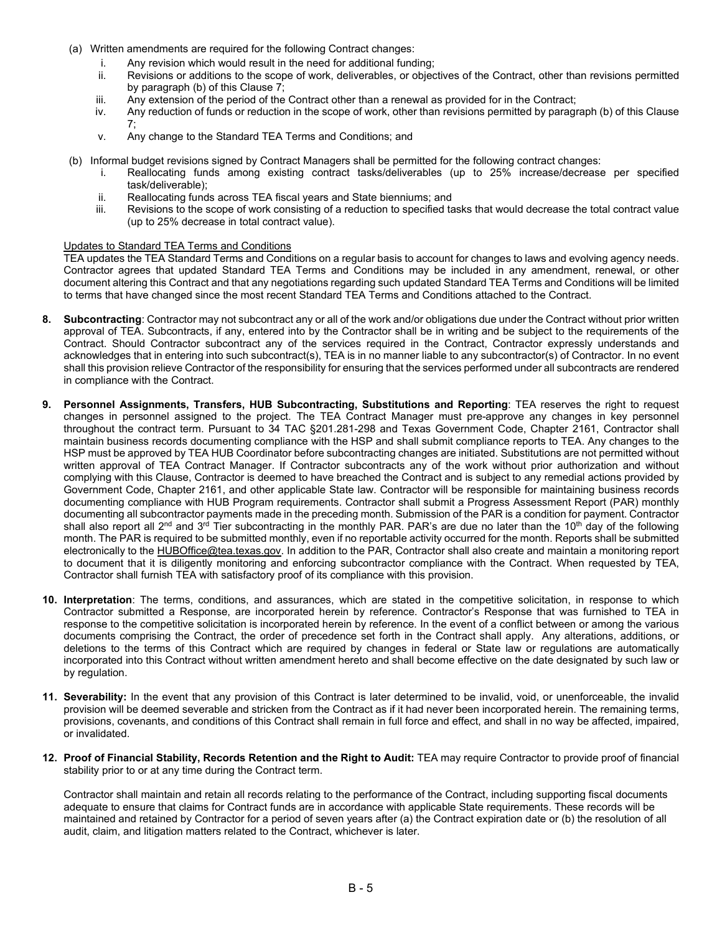- (a) Written amendments are required for the following Contract changes:
	- i. Any revision which would result in the need for additional funding;
	- ii. Revisions or additions to the scope of work, deliverables, or objectives of the Contract, other than revisions permitted by paragraph (b) of this Clause 7;
	- iii. Any extension of the period of the Contract other than a renewal as provided for in the Contract;
	- iv. Any reduction of funds or reduction in the scope of work, other than revisions permitted by paragraph (b) of this Clause 7;
	- v. Any change to the Standard TEA Terms and Conditions; and
- (b) Informal budget revisions signed by Contract Managers shall be permitted for the following contract changes:
	- i. Reallocating funds among existing contract tasks/deliverables (up to 25% increase/decrease per specified task/deliverable);
	- ii. Reallocating funds across TEA fiscal years and State bienniums; and<br>iii. Revisions to the scope of work consisting of a reduction to specified ta
	- Revisions to the scope of work consisting of a reduction to specified tasks that would decrease the total contract value (up to 25% decrease in total contract value).

# Updates to Standard TEA Terms and Conditions

TEA updates the TEA Standard Terms and Conditions on a regular basis to account for changes to laws and evolving agency needs. Contractor agrees that updated Standard TEA Terms and Conditions may be included in any amendment, renewal, or other document altering this Contract and that any negotiations regarding such updated Standard TEA Terms and Conditions will be limited to terms that have changed since the most recent Standard TEA Terms and Conditions attached to the Contract.

- **8. Subcontracting**: Contractor may not subcontract any or all of the work and/or obligations due under the Contract without prior written approval of TEA. Subcontracts, if any, entered into by the Contractor shall be in writing and be subject to the requirements of the Contract. Should Contractor subcontract any of the services required in the Contract, Contractor expressly understands and acknowledges that in entering into such subcontract(s), TEA is in no manner liable to any subcontractor(s) of Contractor. In no event shall this provision relieve Contractor of the responsibility for ensuring that the services performed under all subcontracts are rendered in compliance with the Contract.
- **9. Personnel Assignments, Transfers, HUB Subcontracting, Substitutions and Reporting**: TEA reserves the right to request changes in personnel assigned to the project. The TEA Contract Manager must pre-approve any changes in key personnel throughout the contract term. Pursuant to 34 TAC §201.281-298 and Texas Government Code, Chapter 2161, Contractor shall maintain business records documenting compliance with the HSP and shall submit compliance reports to TEA. Any changes to the HSP must be approved by TEA HUB Coordinator before subcontracting changes are initiated. Substitutions are not permitted without written approval of TEA Contract Manager. If Contractor subcontracts any of the work without prior authorization and without complying with this Clause, Contractor is deemed to have breached the Contract and is subject to any remedial actions provided by Government Code, Chapter 2161, and other applicable State law. Contractor will be responsible for maintaining business records documenting compliance with HUB Program requirements. Contractor shall submit a Progress Assessment Report (PAR) monthly documenting all subcontractor payments made in the preceding month. Submission of the PAR is a condition for payment. Contractor shall also report all 2<sup>nd</sup> and 3<sup>rd</sup> Tier subcontracting in the monthly PAR. PAR's are due no later than the 10<sup>th</sup> day of the following month. The PAR is required to be submitted monthly, even if no reportable activity occurred for the month. Reports shall be submitted electronically to the [HUBOffice@tea.texas.gov.](mailto:HUBOffice@tea.texas.gov) In addition to the PAR, Contractor shall also create and maintain a monitoring report to document that it is diligently monitoring and enforcing subcontractor compliance with the Contract. When requested by TEA, Contractor shall furnish TEA with satisfactory proof of its compliance with this provision.
- **10. Interpretation**: The terms, conditions, and assurances, which are stated in the competitive solicitation, in response to which Contractor submitted a Response, are incorporated herein by reference. Contractor's Response that was furnished to TEA in response to the competitive solicitation is incorporated herein by reference. In the event of a conflict between or among the various documents comprising the Contract, the order of precedence set forth in the Contract shall apply. Any alterations, additions, or deletions to the terms of this Contract which are required by changes in federal or State law or regulations are automatically incorporated into this Contract without written amendment hereto and shall become effective on the date designated by such law or by regulation.
- **11. Severability:** In the event that any provision of this Contract is later determined to be invalid, void, or unenforceable, the invalid provision will be deemed severable and stricken from the Contract as if it had never been incorporated herein. The remaining terms, provisions, covenants, and conditions of this Contract shall remain in full force and effect, and shall in no way be affected, impaired, or invalidated.
- **12. Proof of Financial Stability, Records Retention and the Right to Audit:** TEA may require Contractor to provide proof of financial stability prior to or at any time during the Contract term.

Contractor shall maintain and retain all records relating to the performance of the Contract, including supporting fiscal documents adequate to ensure that claims for Contract funds are in accordance with applicable State requirements. These records will be maintained and retained by Contractor for a period of seven years after (a) the Contract expiration date or (b) the resolution of all audit, claim, and litigation matters related to the Contract, whichever is later.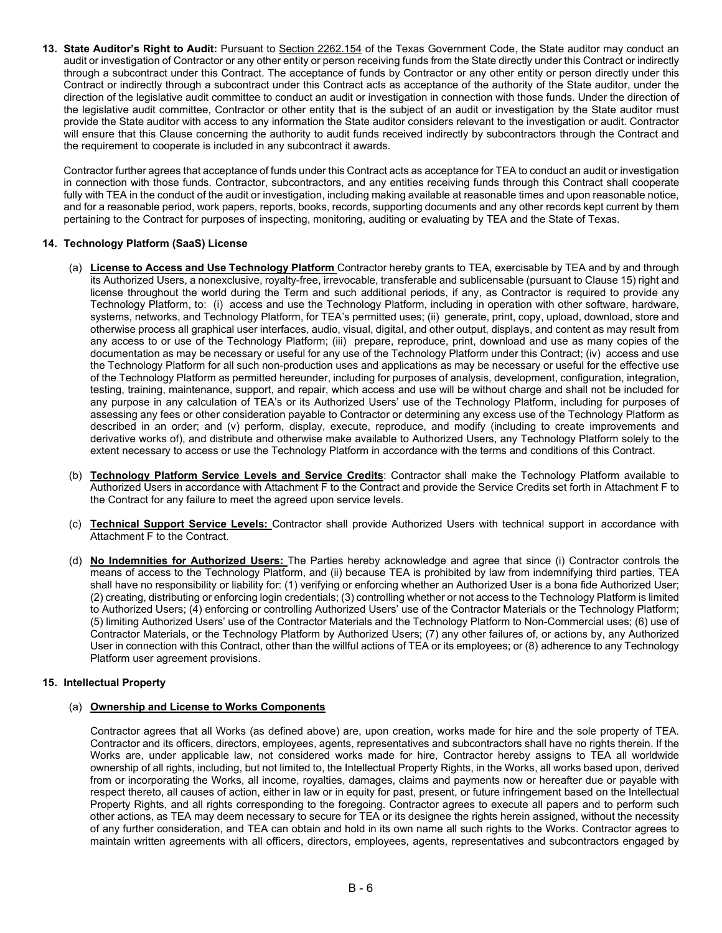**13. State Auditor's Right to Audit:** Pursuant to [Section 2262.154](http://www.statutes.legis.state.tx.us/Docs/GV/htm/GV.2262.htm) of the Texas Government Code, the State auditor may conduct an audit or investigation of Contractor or any other entity or person receiving funds from the State directly under this Contract or indirectly through a subcontract under this Contract. The acceptance of funds by Contractor or any other entity or person directly under this Contract or indirectly through a subcontract under this Contract acts as acceptance of the authority of the State auditor, under the direction of the legislative audit committee to conduct an audit or investigation in connection with those funds. Under the direction of the legislative audit committee, Contractor or other entity that is the subject of an audit or investigation by the State auditor must provide the State auditor with access to any information the State auditor considers relevant to the investigation or audit. Contractor will ensure that this Clause concerning the authority to audit funds received indirectly by subcontractors through the Contract and the requirement to cooperate is included in any subcontract it awards.

Contractor further agrees that acceptance of funds under this Contract acts as acceptance for TEA to conduct an audit or investigation in connection with those funds. Contractor, subcontractors, and any entities receiving funds through this Contract shall cooperate fully with TEA in the conduct of the audit or investigation, including making available at reasonable times and upon reasonable notice, and for a reasonable period, work papers, reports, books, records, supporting documents and any other records kept current by them pertaining to the Contract for purposes of inspecting, monitoring, auditing or evaluating by TEA and the State of Texas.

# **14. Technology Platform (SaaS) License**

- (a) **License to Access and Use Technology Platform** Contractor hereby grants to TEA, exercisable by TEA and by and through its Authorized Users, a nonexclusive, royalty-free, irrevocable, transferable and sublicensable (pursuant to Clause 15) right and license throughout the world during the Term and such additional periods, if any, as Contractor is required to provide any Technology Platform, to: (i) access and use the Technology Platform, including in operation with other software, hardware, systems, networks, and Technology Platform, for TEA's permitted uses; (ii) generate, print, copy, upload, download, store and otherwise process all graphical user interfaces, audio, visual, digital, and other output, displays, and content as may result from any access to or use of the Technology Platform; (iii) prepare, reproduce, print, download and use as many copies of the documentation as may be necessary or useful for any use of the Technology Platform under this Contract; (iv) access and use the Technology Platform for all such non-production uses and applications as may be necessary or useful for the effective use of the Technology Platform as permitted hereunder, including for purposes of analysis, development, configuration, integration, testing, training, maintenance, support, and repair, which access and use will be without charge and shall not be included for any purpose in any calculation of TEA's or its Authorized Users' use of the Technology Platform, including for purposes of assessing any fees or other consideration payable to Contractor or determining any excess use of the Technology Platform as described in an order; and (v) perform, display, execute, reproduce, and modify (including to create improvements and derivative works of), and distribute and otherwise make available to Authorized Users, any Technology Platform solely to the extent necessary to access or use the Technology Platform in accordance with the terms and conditions of this Contract.
- (b) **Technology Platform Service Levels and Service Credits**: Contractor shall make the Technology Platform available to Authorized Users in accordance with Attachment F to the Contract and provide the Service Credits set forth in Attachment F to the Contract for any failure to meet the agreed upon service levels.
- (c) **Technical Support Service Levels:** Contractor shall provide Authorized Users with technical support in accordance with Attachment F to the Contract.
- (d) **No Indemnities for Authorized Users:** The Parties hereby acknowledge and agree that since (i) Contractor controls the means of access to the Technology Platform, and (ii) because TEA is prohibited by law from indemnifying third parties, TEA shall have no responsibility or liability for: (1) verifying or enforcing whether an Authorized User is a bona fide Authorized User; (2) creating, distributing or enforcing login credentials; (3) controlling whether or not access to the Technology Platform is limited to Authorized Users; (4) enforcing or controlling Authorized Users' use of the Contractor Materials or the Technology Platform; (5) limiting Authorized Users' use of the Contractor Materials and the Technology Platform to Non-Commercial uses; (6) use of Contractor Materials, or the Technology Platform by Authorized Users; (7) any other failures of, or actions by, any Authorized User in connection with this Contract, other than the willful actions of TEA or its employees; or (8) adherence to any Technology Platform user agreement provisions.

# **15. Intellectual Property**

# (a) **Ownership and License to Works Components**

Contractor agrees that all Works (as defined above) are, upon creation, works made for hire and the sole property of TEA. Contractor and its officers, directors, employees, agents, representatives and subcontractors shall have no rights therein. If the Works are, under applicable law, not considered works made for hire, Contractor hereby assigns to TEA all worldwide ownership of all rights, including, but not limited to, the Intellectual Property Rights, in the Works, all works based upon, derived from or incorporating the Works, all income, royalties, damages, claims and payments now or hereafter due or payable with respect thereto, all causes of action, either in law or in equity for past, present, or future infringement based on the Intellectual Property Rights, and all rights corresponding to the foregoing. Contractor agrees to execute all papers and to perform such other actions, as TEA may deem necessary to secure for TEA or its designee the rights herein assigned, without the necessity of any further consideration, and TEA can obtain and hold in its own name all such rights to the Works. Contractor agrees to maintain written agreements with all officers, directors, employees, agents, representatives and subcontractors engaged by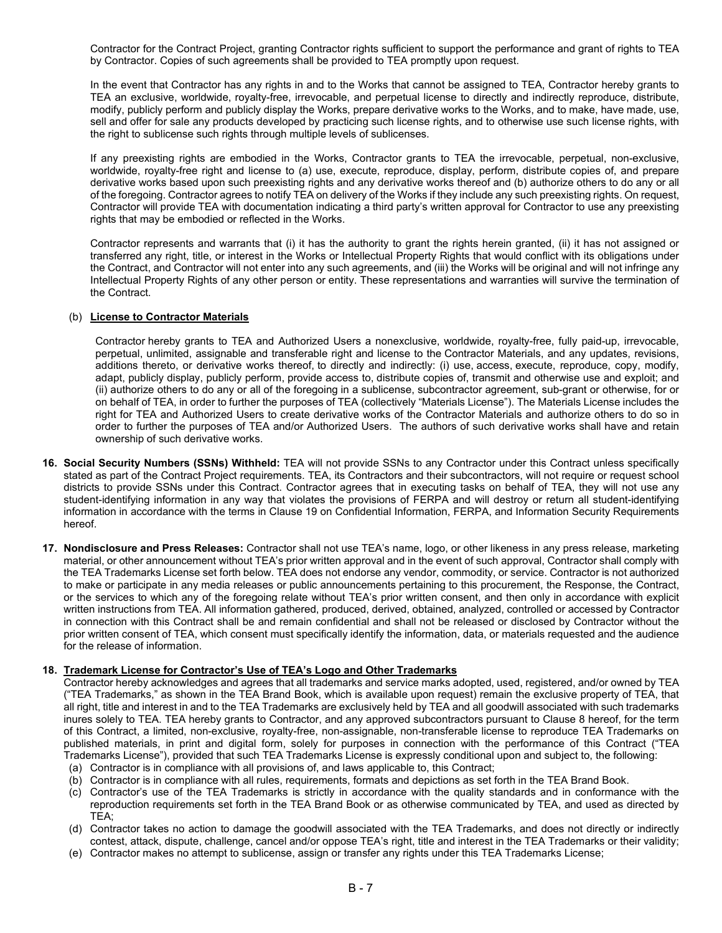Contractor for the Contract Project, granting Contractor rights sufficient to support the performance and grant of rights to TEA by Contractor. Copies of such agreements shall be provided to TEA promptly upon request.

In the event that Contractor has any rights in and to the Works that cannot be assigned to TEA, Contractor hereby grants to TEA an exclusive, worldwide, royalty-free, irrevocable, and perpetual license to directly and indirectly reproduce, distribute, modify, publicly perform and publicly display the Works, prepare derivative works to the Works, and to make, have made, use, sell and offer for sale any products developed by practicing such license rights, and to otherwise use such license rights, with the right to sublicense such rights through multiple levels of sublicenses.

If any preexisting rights are embodied in the Works, Contractor grants to TEA the irrevocable, perpetual, non-exclusive, worldwide, royalty-free right and license to (a) use, execute, reproduce, display, perform, distribute copies of, and prepare derivative works based upon such preexisting rights and any derivative works thereof and (b) authorize others to do any or all of the foregoing. Contractor agrees to notify TEA on delivery of the Works if they include any such preexisting rights. On request, Contractor will provide TEA with documentation indicating a third party's written approval for Contractor to use any preexisting rights that may be embodied or reflected in the Works.

Contractor represents and warrants that (i) it has the authority to grant the rights herein granted, (ii) it has not assigned or transferred any right, title, or interest in the Works or Intellectual Property Rights that would conflict with its obligations under the Contract, and Contractor will not enter into any such agreements, and (iii) the Works will be original and will not infringe any Intellectual Property Rights of any other person or entity. These representations and warranties will survive the termination of the Contract.

### (b) **License to Contractor Materials**

Contractor hereby grants to TEA and Authorized Users a nonexclusive, worldwide, royalty-free, fully paid-up, irrevocable, perpetual, unlimited, assignable and transferable right and license to the Contractor Materials, and any updates, revisions, additions thereto, or derivative works thereof, to directly and indirectly: (i) use, access, execute, reproduce, copy, modify, adapt, publicly display, publicly perform, provide access to, distribute copies of, transmit and otherwise use and exploit; and (ii) authorize others to do any or all of the foregoing in a sublicense, subcontractor agreement, sub-grant or otherwise, for or on behalf of TEA, in order to further the purposes of TEA (collectively "Materials License"). The Materials License includes the right for TEA and Authorized Users to create derivative works of the Contractor Materials and authorize others to do so in order to further the purposes of TEA and/or Authorized Users. The authors of such derivative works shall have and retain ownership of such derivative works.

- **16. Social Security Numbers (SSNs) Withheld:** TEA will not provide SSNs to any Contractor under this Contract unless specifically stated as part of the Contract Project requirements. TEA, its Contractors and their subcontractors, will not require or request school districts to provide SSNs under this Contract. Contractor agrees that in executing tasks on behalf of TEA, they will not use any student-identifying information in any way that violates the provisions of FERPA and will destroy or return all student-identifying information in accordance with the terms in Clause 19 on Confidential Information, FERPA, and Information Security Requirements hereof.
- **17. Nondisclosure and Press Releases:** Contractor shall not use TEA's name, logo, or other likeness in any press release, marketing material, or other announcement without TEA's prior written approval and in the event of such approval, Contractor shall comply with the TEA Trademarks License set forth below. TEA does not endorse any vendor, commodity, or service. Contractor is not authorized to make or participate in any media releases or public announcements pertaining to this procurement, the Response, the Contract, or the services to which any of the foregoing relate without TEA's prior written consent, and then only in accordance with explicit written instructions from TEA. All information gathered, produced, derived, obtained, analyzed, controlled or accessed by Contractor in connection with this Contract shall be and remain confidential and shall not be released or disclosed by Contractor without the prior written consent of TEA, which consent must specifically identify the information, data, or materials requested and the audience for the release of information.

### **18. Trademark License for Contractor's Use of TEA's Logo and Other Trademarks**

Contractor hereby acknowledges and agrees that all trademarks and service marks adopted, used, registered, and/or owned by TEA ("TEA Trademarks," as shown in the TEA Brand Book, which is available upon request) remain the exclusive property of TEA, that all right, title and interest in and to the TEA Trademarks are exclusively held by TEA and all goodwill associated with such trademarks inures solely to TEA. TEA hereby grants to Contractor, and any approved subcontractors pursuant to Clause 8 hereof, for the term of this Contract, a limited, non-exclusive, royalty-free, non-assignable, non-transferable license to reproduce TEA Trademarks on published materials, in print and digital form, solely for purposes in connection with the performance of this Contract ("TEA Trademarks License"), provided that such TEA Trademarks License is expressly conditional upon and subject to, the following:

- (a) Contractor is in compliance with all provisions of, and laws applicable to, this Contract;
- (b) Contractor is in compliance with all rules, requirements, formats and depictions as set forth in the TEA Brand Book.
- (c) Contractor's use of the TEA Trademarks is strictly in accordance with the quality standards and in conformance with the reproduction requirements set forth in the TEA Brand Book or as otherwise communicated by TEA, and used as directed by TEA;
- (d) Contractor takes no action to damage the goodwill associated with the TEA Trademarks, and does not directly or indirectly contest, attack, dispute, challenge, cancel and/or oppose TEA's right, title and interest in the TEA Trademarks or their validity;
- (e) Contractor makes no attempt to sublicense, assign or transfer any rights under this TEA Trademarks License;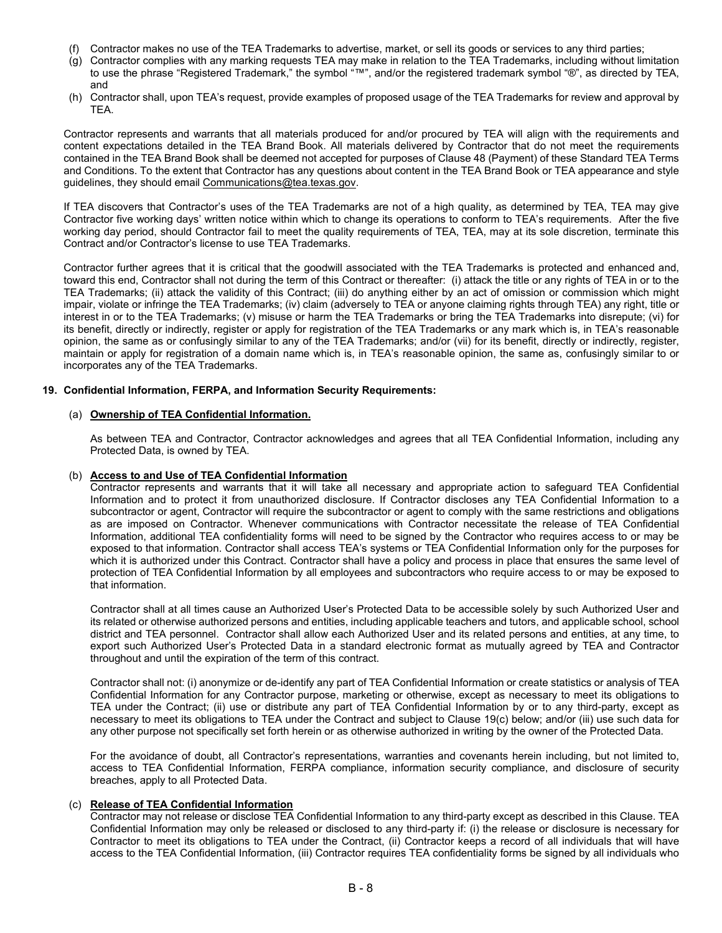- (f) Contractor makes no use of the TEA Trademarks to advertise, market, or sell its goods or services to any third parties;
- (g) Contractor complies with any marking requests TEA may make in relation to the TEA Trademarks, including without limitation to use the phrase "Registered Trademark," the symbol "™", and/or the registered trademark symbol "®", as directed by TEA, and
- (h) Contractor shall, upon TEA's request, provide examples of proposed usage of the TEA Trademarks for review and approval by TEA.

Contractor represents and warrants that all materials produced for and/or procured by TEA will align with the requirements and content expectations detailed in the TEA Brand Book. All materials delivered by Contractor that do not meet the requirements contained in the TEA Brand Book shall be deemed not accepted for purposes of Clause 48 (Payment) of these Standard TEA Terms and Conditions. To the extent that Contractor has any questions about content in the TEA Brand Book or TEA appearance and style guidelines, they should email [Communications@tea.texas.gov.](mailto:Communications@tea.texas.gov)

If TEA discovers that Contractor's uses of the TEA Trademarks are not of a high quality, as determined by TEA, TEA may give Contractor five working days' written notice within which to change its operations to conform to TEA's requirements. After the five working day period, should Contractor fail to meet the quality requirements of TEA, TEA, may at its sole discretion, terminate this Contract and/or Contractor's license to use TEA Trademarks.

Contractor further agrees that it is critical that the goodwill associated with the TEA Trademarks is protected and enhanced and, toward this end, Contractor shall not during the term of this Contract or thereafter: (i) attack the title or any rights of TEA in or to the TEA Trademarks; (ii) attack the validity of this Contract; (iii) do anything either by an act of omission or commission which might impair, violate or infringe the TEA Trademarks; (iv) claim (adversely to TEA or anyone claiming rights through TEA) any right, title or interest in or to the TEA Trademarks; (v) misuse or harm the TEA Trademarks or bring the TEA Trademarks into disrepute; (vi) for its benefit, directly or indirectly, register or apply for registration of the TEA Trademarks or any mark which is, in TEA's reasonable opinion, the same as or confusingly similar to any of the TEA Trademarks; and/or (vii) for its benefit, directly or indirectly, register, maintain or apply for registration of a domain name which is, in TEA's reasonable opinion, the same as, confusingly similar to or incorporates any of the TEA Trademarks.

### **19. Confidential Information, FERPA, and Information Security Requirements:**

# (a) **Ownership of TEA Confidential Information.**

As between TEA and Contractor, Contractor acknowledges and agrees that all TEA Confidential Information, including any Protected Data, is owned by TEA.

### (b) **Access to and Use of TEA Confidential Information**

Contractor represents and warrants that it will take all necessary and appropriate action to safeguard TEA Confidential Information and to protect it from unauthorized disclosure. If Contractor discloses any TEA Confidential Information to a subcontractor or agent, Contractor will require the subcontractor or agent to comply with the same restrictions and obligations as are imposed on Contractor. Whenever communications with Contractor necessitate the release of TEA Confidential Information, additional TEA confidentiality forms will need to be signed by the Contractor who requires access to or may be exposed to that information. Contractor shall access TEA's systems or TEA Confidential Information only for the purposes for which it is authorized under this Contract. Contractor shall have a policy and process in place that ensures the same level of protection of TEA Confidential Information by all employees and subcontractors who require access to or may be exposed to that information.

Contractor shall at all times cause an Authorized User's Protected Data to be accessible solely by such Authorized User and its related or otherwise authorized persons and entities, including applicable teachers and tutors, and applicable school, school district and TEA personnel. Contractor shall allow each Authorized User and its related persons and entities, at any time, to export such Authorized User's Protected Data in a standard electronic format as mutually agreed by TEA and Contractor throughout and until the expiration of the term of this contract.

Contractor shall not: (i) anonymize or de-identify any part of TEA Confidential Information or create statistics or analysis of TEA Confidential Information for any Contractor purpose, marketing or otherwise, except as necessary to meet its obligations to TEA under the Contract; (ii) use or distribute any part of TEA Confidential Information by or to any third-party, except as necessary to meet its obligations to TEA under the Contract and subject to Clause 19(c) below; and/or (iii) use such data for any other purpose not specifically set forth herein or as otherwise authorized in writing by the owner of the Protected Data.

For the avoidance of doubt, all Contractor's representations, warranties and covenants herein including, but not limited to, access to TEA Confidential Information, FERPA compliance, information security compliance, and disclosure of security breaches, apply to all Protected Data.

### (c) **Release of TEA Confidential Information**

Contractor may not release or disclose TEA Confidential Information to any third-party except as described in this Clause. TEA Confidential Information may only be released or disclosed to any third-party if: (i) the release or disclosure is necessary for Contractor to meet its obligations to TEA under the Contract, (ii) Contractor keeps a record of all individuals that will have access to the TEA Confidential Information, (iii) Contractor requires TEA confidentiality forms be signed by all individuals who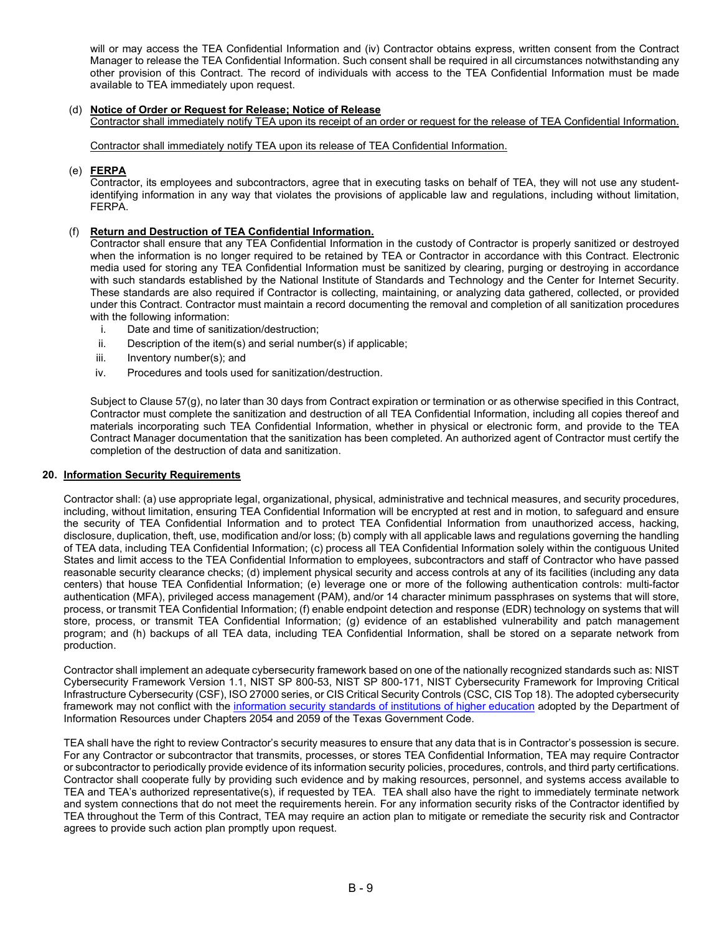will or may access the TEA Confidential Information and (iv) Contractor obtains express, written consent from the Contract Manager to release the TEA Confidential Information. Such consent shall be required in all circumstances notwithstanding any other provision of this Contract. The record of individuals with access to the TEA Confidential Information must be made available to TEA immediately upon request.

# (d) **Notice of Order or Request for Release; Notice of Release**

Contractor shall immediately notify TEA upon its receipt of an order or request for the release of TEA Confidential Information.

Contractor shall immediately notify TEA upon its release of TEA Confidential Information.

### (e) **FERPA**

Contractor, its employees and subcontractors, agree that in executing tasks on behalf of TEA, they will not use any studentidentifying information in any way that violates the provisions of applicable law and regulations, including without limitation, FERPA.

## (f) **Return and Destruction of TEA Confidential Information.**

Contractor shall ensure that any TEA Confidential Information in the custody of Contractor is properly sanitized or destroyed when the information is no longer required to be retained by TEA or Contractor in accordance with this Contract. Electronic media used for storing any TEA Confidential Information must be sanitized by clearing, purging or destroying in accordance with such standards established by the National Institute of Standards and Technology and the Center for Internet Security. These standards are also required if Contractor is collecting, maintaining, or analyzing data gathered, collected, or provided under this Contract. Contractor must maintain a record documenting the removal and completion of all sanitization procedures with the following information:

- i. Date and time of sanitization/destruction;
- ii. Description of the item(s) and serial number(s) if applicable;
- iii. Inventory number(s); and
- iv. Procedures and tools used for sanitization/destruction.

Subject to Clause 57(g), no later than 30 days from Contract expiration or termination or as otherwise specified in this Contract, Contractor must complete the sanitization and destruction of all TEA Confidential Information, including all copies thereof and materials incorporating such TEA Confidential Information, whether in physical or electronic form, and provide to the TEA Contract Manager documentation that the sanitization has been completed. An authorized agent of Contractor must certify the completion of the destruction of data and sanitization.

### **20. Information Security Requirements**

Contractor shall: (a) use appropriate legal, organizational, physical, administrative and technical measures, and security procedures, including, without limitation, ensuring TEA Confidential Information will be encrypted at rest and in motion, to safeguard and ensure the security of TEA Confidential Information and to protect TEA Confidential Information from unauthorized access, hacking, disclosure, duplication, theft, use, modification and/or loss; (b) comply with all applicable laws and regulations governing the handling of TEA data, including TEA Confidential Information; (c) process all TEA Confidential Information solely within the contiguous United States and limit access to the TEA Confidential Information to employees, subcontractors and staff of Contractor who have passed reasonable security clearance checks; (d) implement physical security and access controls at any of its facilities (including any data centers) that house TEA Confidential Information; (e) leverage one or more of the following authentication controls: multi-factor authentication (MFA), privileged access management (PAM), and/or 14 character minimum passphrases on systems that will store, process, or transmit TEA Confidential Information; (f) enable endpoint detection and response (EDR) technology on systems that will store, process, or transmit TEA Confidential Information; (g) evidence of an established vulnerability and patch management program; and (h) backups of all TEA data, including TEA Confidential Information, shall be stored on a separate network from production.

Contractor shall implement an adequate cybersecurity framework based on one of the nationally recognized standards such as: NIST Cybersecurity Framework Version 1.1, NIST SP 800-53, NIST SP 800-171, NIST Cybersecurity Framework for Improving Critical Infrastructure Cybersecurity (CSF), ISO 27000 series, or CIS Critical Security Controls (CSC, CIS Top 18). The adopted cybersecurity framework may not conflict with the [information security standards of institutions of higher education](https://dir.texas.gov/sites/default/files/2021-03/Texas%20Cybersecurity%20Framework%20Controls%20and%20Definitions.pdf) adopted by the Department of Information Resources under Chapters 2054 and 2059 of the Texas Government Code.

TEA shall have the right to review Contractor's security measures to ensure that any data that is in Contractor's possession is secure. For any Contractor or subcontractor that transmits, processes, or stores TEA Confidential Information, TEA may require Contractor or subcontractor to periodically provide evidence of its information security policies, procedures, controls, and third party certifications. Contractor shall cooperate fully by providing such evidence and by making resources, personnel, and systems access available to TEA and TEA's authorized representative(s), if requested by TEA. TEA shall also have the right to immediately terminate network and system connections that do not meet the requirements herein. For any information security risks of the Contractor identified by TEA throughout the Term of this Contract, TEA may require an action plan to mitigate or remediate the security risk and Contractor agrees to provide such action plan promptly upon request.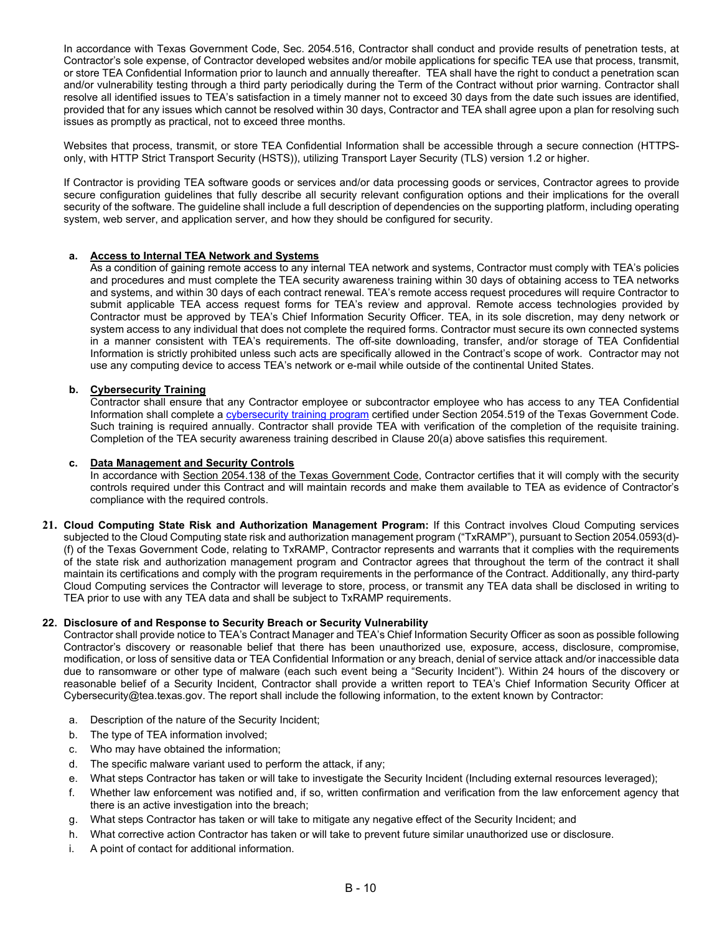In accordance with Texas Government Code, Sec. 2054.516, Contractor shall conduct and provide results of penetration tests, at Contractor's sole expense, of Contractor developed websites and/or mobile applications for specific TEA use that process, transmit, or store TEA Confidential Information prior to launch and annually thereafter. TEA shall have the right to conduct a penetration scan and/or vulnerability testing through a third party periodically during the Term of the Contract without prior warning. Contractor shall resolve all identified issues to TEA's satisfaction in a timely manner not to exceed 30 days from the date such issues are identified, provided that for any issues which cannot be resolved within 30 days, Contractor and TEA shall agree upon a plan for resolving such issues as promptly as practical, not to exceed three months.

Websites that process, transmit, or store TEA Confidential Information shall be accessible through a secure connection (HTTPSonly, with HTTP Strict Transport Security (HSTS)), utilizing Transport Layer Security (TLS) version 1.2 or higher.

If Contractor is providing TEA software goods or services and/or data processing goods or services, Contractor agrees to provide secure configuration guidelines that fully describe all security relevant configuration options and their implications for the overall security of the software. The guideline shall include a full description of dependencies on the supporting platform, including operating system, web server, and application server, and how they should be configured for security.

# **a. Access to Internal TEA Network and Systems**

As a condition of gaining remote access to any internal TEA network and systems, Contractor must comply with TEA's policies and procedures and must complete the TEA security awareness training within 30 days of obtaining access to TEA networks and systems, and within 30 days of each contract renewal. TEA's remote access request procedures will require Contractor to submit applicable TEA access request forms for TEA's review and approval. Remote access technologies provided by Contractor must be approved by TEA's Chief Information Security Officer. TEA, in its sole discretion, may deny network or system access to any individual that does not complete the required forms. Contractor must secure its own connected systems in a manner consistent with TEA's requirements. The off-site downloading, transfer, and/or storage of TEA Confidential Information is strictly prohibited unless such acts are specifically allowed in the Contract's scope of work. Contractor may not use any computing device to access TEA's network or e-mail while outside of the continental United States.

# **b. Cybersecurity Training**

Contractor shall ensure that any Contractor employee or subcontractor employee who has access to any TEA Confidential Information shall complete a [cybersecurity training program](https://dir.texas.gov/information-security/certified-training-programs) certified under Section 2054.519 of the Texas Government Code. Such training is required annually. Contractor shall provide TEA with verification of the completion of the requisite training. Completion of the TEA security awareness training described in Clause 20(a) above satisfies this requirement.

### **c. Data Management and Security Controls**

In accordance with [Section 2054.138 of the Texas Government Code,](https://statutes.capitol.texas.gov/Docs/GV/htm/GV.2054.htm#2054.138) Contractor certifies that it will comply with the security controls required under this Contract and will maintain records and make them available to TEA as evidence of Contractor's compliance with the required controls.

**21. Cloud Computing State Risk and Authorization Management Program:** If this Contract involves Cloud Computing services subjected to the Cloud Computing state risk and authorization management program ("TxRAMP"), pursuant to Section 2054.0593(d)- (f) of the Texas Government Code, relating to TxRAMP, Contractor represents and warrants that it complies with the requirements of the state risk and authorization management program and Contractor agrees that throughout the term of the contract it shall maintain its certifications and comply with the program requirements in the performance of the Contract. Additionally, any third-party Cloud Computing services the Contractor will leverage to store, process, or transmit any TEA data shall be disclosed in writing to TEA prior to use with any TEA data and shall be subject to TxRAMP requirements.

### **22. Disclosure of and Response to Security Breach or Security Vulnerability**

Contractor shall provide notice to TEA's Contract Manager and TEA's Chief Information Security Officer as soon as possible following Contractor's discovery or reasonable belief that there has been unauthorized use, exposure, access, disclosure, compromise, modification, or loss of sensitive data or TEA Confidential Information or any breach, denial of service attack and/or inaccessible data due to ransomware or other type of malware (each such event being a "Security Incident"). Within 24 hours of the discovery or reasonable belief of a Security Incident, Contractor shall provide a written report to TEA's Chief Information Security Officer at Cybersecurity@tea.texas.gov. The report shall include the following information, to the extent known by Contractor:

- a. Description of the nature of the Security Incident;
- b. The type of TEA information involved;
- c. Who may have obtained the information;
- d. The specific malware variant used to perform the attack, if any;
- e. What steps Contractor has taken or will take to investigate the Security Incident (Including external resources leveraged);
- f. Whether law enforcement was notified and, if so, written confirmation and verification from the law enforcement agency that there is an active investigation into the breach;
- g. What steps Contractor has taken or will take to mitigate any negative effect of the Security Incident; and
- h. What corrective action Contractor has taken or will take to prevent future similar unauthorized use or disclosure.
- i. A point of contact for additional information.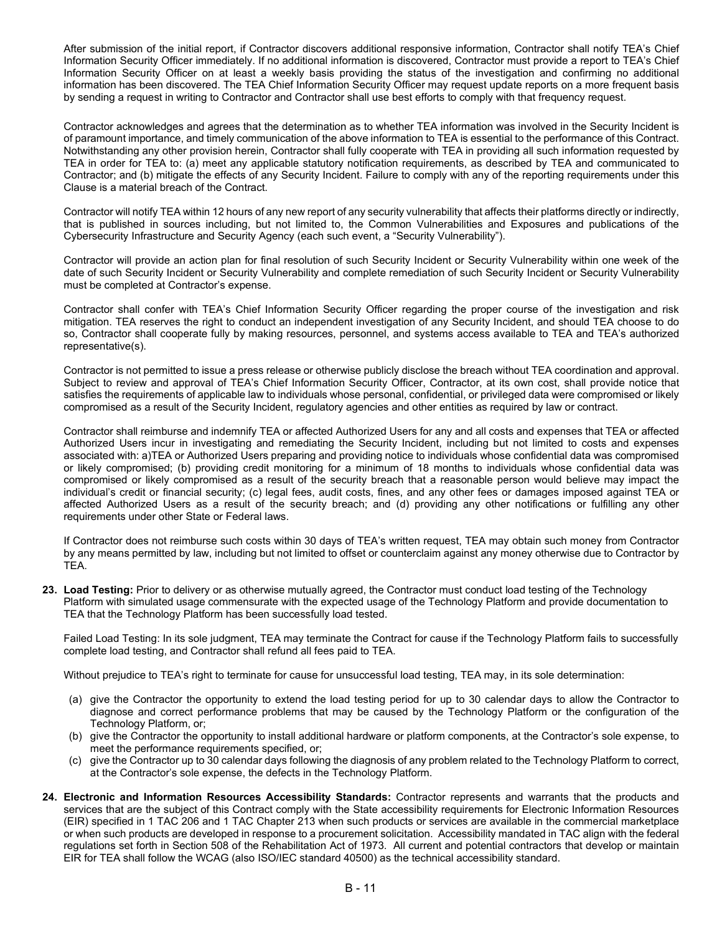After submission of the initial report, if Contractor discovers additional responsive information, Contractor shall notify TEA's Chief Information Security Officer immediately. If no additional information is discovered, Contractor must provide a report to TEA's Chief Information Security Officer on at least a weekly basis providing the status of the investigation and confirming no additional information has been discovered. The TEA Chief Information Security Officer may request update reports on a more frequent basis by sending a request in writing to Contractor and Contractor shall use best efforts to comply with that frequency request.

Contractor acknowledges and agrees that the determination as to whether TEA information was involved in the Security Incident is of paramount importance, and timely communication of the above information to TEA is essential to the performance of this Contract. Notwithstanding any other provision herein, Contractor shall fully cooperate with TEA in providing all such information requested by TEA in order for TEA to: (a) meet any applicable statutory notification requirements, as described by TEA and communicated to Contractor; and (b) mitigate the effects of any Security Incident. Failure to comply with any of the reporting requirements under this Clause is a material breach of the Contract.

Contractor will notify TEA within 12 hours of any new report of any security vulnerability that affects their platforms directly or indirectly, that is published in sources including, but not limited to, the Common Vulnerabilities and Exposures and publications of the Cybersecurity Infrastructure and Security Agency (each such event, a "Security Vulnerability").

Contractor will provide an action plan for final resolution of such Security Incident or Security Vulnerability within one week of the date of such Security Incident or Security Vulnerability and complete remediation of such Security Incident or Security Vulnerability must be completed at Contractor's expense.

Contractor shall confer with TEA's Chief Information Security Officer regarding the proper course of the investigation and risk mitigation. TEA reserves the right to conduct an independent investigation of any Security Incident, and should TEA choose to do so, Contractor shall cooperate fully by making resources, personnel, and systems access available to TEA and TEA's authorized representative(s).

Contractor is not permitted to issue a press release or otherwise publicly disclose the breach without TEA coordination and approval. Subject to review and approval of TEA's Chief Information Security Officer, Contractor, at its own cost, shall provide notice that satisfies the requirements of applicable law to individuals whose personal, confidential, or privileged data were compromised or likely compromised as a result of the Security Incident, regulatory agencies and other entities as required by law or contract.

Contractor shall reimburse and indemnify TEA or affected Authorized Users for any and all costs and expenses that TEA or affected Authorized Users incur in investigating and remediating the Security Incident, including but not limited to costs and expenses associated with: a)TEA or Authorized Users preparing and providing notice to individuals whose confidential data was compromised or likely compromised; (b) providing credit monitoring for a minimum of 18 months to individuals whose confidential data was compromised or likely compromised as a result of the security breach that a reasonable person would believe may impact the individual's credit or financial security; (c) legal fees, audit costs, fines, and any other fees or damages imposed against TEA or affected Authorized Users as a result of the security breach; and (d) providing any other notifications or fulfilling any other requirements under other State or Federal laws.

If Contractor does not reimburse such costs within 30 days of TEA's written request, TEA may obtain such money from Contractor by any means permitted by law, including but not limited to offset or counterclaim against any money otherwise due to Contractor by TEA.

**23. Load Testing:** Prior to delivery or as otherwise mutually agreed, the Contractor must conduct load testing of the Technology Platform with simulated usage commensurate with the expected usage of the Technology Platform and provide documentation to TEA that the Technology Platform has been successfully load tested.

Failed Load Testing: In its sole judgment, TEA may terminate the Contract for cause if the Technology Platform fails to successfully complete load testing, and Contractor shall refund all fees paid to TEA.

Without prejudice to TEA's right to terminate for cause for unsuccessful load testing, TEA may, in its sole determination:

- (a) give the Contractor the opportunity to extend the load testing period for up to 30 calendar days to allow the Contractor to diagnose and correct performance problems that may be caused by the Technology Platform or the configuration of the Technology Platform, or;
- (b) give the Contractor the opportunity to install additional hardware or platform components, at the Contractor's sole expense, to meet the performance requirements specified, or;
- (c) give the Contractor up to 30 calendar days following the diagnosis of any problem related to the Technology Platform to correct, at the Contractor's sole expense, the defects in the Technology Platform.
- **24. Electronic and Information Resources Accessibility Standards:** Contractor represents and warrants that the products and services that are the subject of this Contract comply with the State accessibility requirements for Electronic Information Resources (EIR) specified in 1 TAC 206 and 1 TAC Chapter 213 when such products or services are available in the commercial marketplace or when such products are developed in response to a procurement solicitation. Accessibility mandated in TAC align with the federal regulations set forth in Section 508 of the Rehabilitation Act of 1973. All current and potential contractors that develop or maintain EIR for TEA shall follow the WCAG (also ISO/IEC standard 40500) as the technical accessibility standard.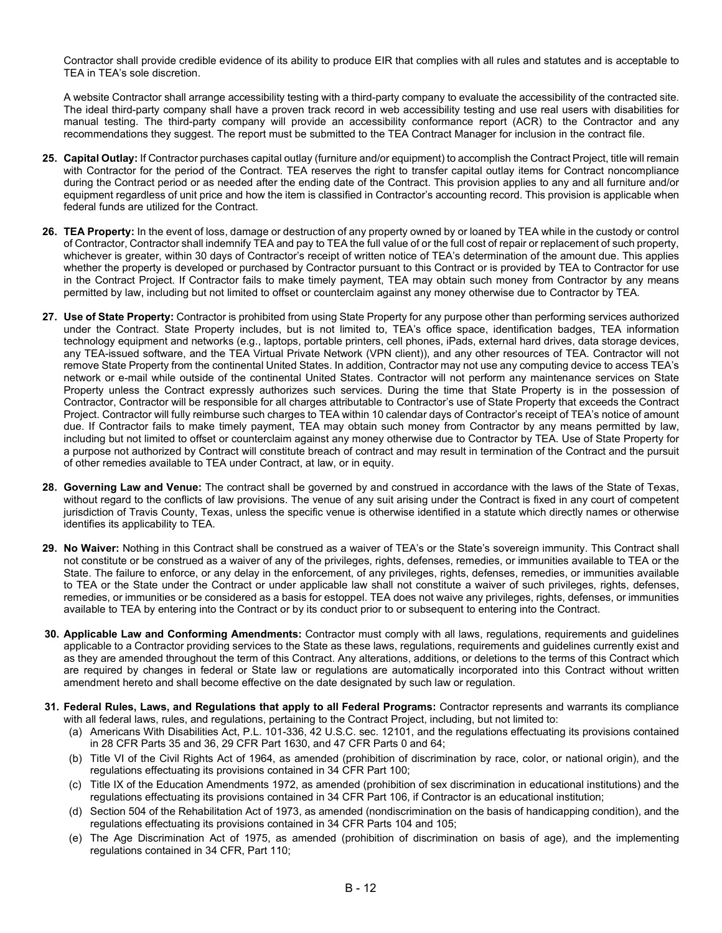Contractor shall provide credible evidence of its ability to produce EIR that complies with all rules and statutes and is acceptable to TEA in TEA's sole discretion.

A website Contractor shall arrange accessibility testing with a third-party company to evaluate the accessibility of the contracted site. The ideal third-party company shall have a proven track record in web accessibility testing and use real users with disabilities for manual testing. The third-party company will provide an accessibility conformance report (ACR) to the Contractor and any recommendations they suggest. The report must be submitted to the TEA Contract Manager for inclusion in the contract file.

- **25. Capital Outlay:** If Contractor purchases capital outlay (furniture and/or equipment) to accomplish the Contract Project, title will remain with Contractor for the period of the Contract. TEA reserves the right to transfer capital outlay items for Contract noncompliance during the Contract period or as needed after the ending date of the Contract. This provision applies to any and all furniture and/or equipment regardless of unit price and how the item is classified in Contractor's accounting record. This provision is applicable when federal funds are utilized for the Contract.
- **26. TEA Property:** In the event of loss, damage or destruction of any property owned by or loaned by TEA while in the custody or control of Contractor, Contractor shall indemnify TEA and pay to TEA the full value of or the full cost of repair or replacement of such property, whichever is greater, within 30 days of Contractor's receipt of written notice of TEA's determination of the amount due. This applies whether the property is developed or purchased by Contractor pursuant to this Contract or is provided by TEA to Contractor for use in the Contract Project. If Contractor fails to make timely payment, TEA may obtain such money from Contractor by any means permitted by law, including but not limited to offset or counterclaim against any money otherwise due to Contractor by TEA.
- **27. Use of State Property:** Contractor is prohibited from using State Property for any purpose other than performing services authorized under the Contract. State Property includes, but is not limited to, TEA's office space, identification badges, TEA information technology equipment and networks (e.g., laptops, portable printers, cell phones, iPads, external hard drives, data storage devices, any TEA-issued software, and the TEA Virtual Private Network (VPN client)), and any other resources of TEA. Contractor will not remove State Property from the continental United States. In addition, Contractor may not use any computing device to access TEA's network or e-mail while outside of the continental United States. Contractor will not perform any maintenance services on State Property unless the Contract expressly authorizes such services. During the time that State Property is in the possession of Contractor, Contractor will be responsible for all charges attributable to Contractor's use of State Property that exceeds the Contract Project. Contractor will fully reimburse such charges to TEA within 10 calendar days of Contractor's receipt of TEA's notice of amount due. If Contractor fails to make timely payment, TEA may obtain such money from Contractor by any means permitted by law, including but not limited to offset or counterclaim against any money otherwise due to Contractor by TEA. Use of State Property for a purpose not authorized by Contract will constitute breach of contract and may result in termination of the Contract and the pursuit of other remedies available to TEA under Contract, at law, or in equity.
- **28. Governing Law and Venue:** The contract shall be governed by and construed in accordance with the laws of the State of Texas, without regard to the conflicts of law provisions. The venue of any suit arising under the Contract is fixed in any court of competent jurisdiction of Travis County, Texas, unless the specific venue is otherwise identified in a statute which directly names or otherwise identifies its applicability to TEA.
- **29. No Waiver:** Nothing in this Contract shall be construed as a waiver of TEA's or the State's sovereign immunity. This Contract shall not constitute or be construed as a waiver of any of the privileges, rights, defenses, remedies, or immunities available to TEA or the State. The failure to enforce, or any delay in the enforcement, of any privileges, rights, defenses, remedies, or immunities available to TEA or the State under the Contract or under applicable law shall not constitute a waiver of such privileges, rights, defenses, remedies, or immunities or be considered as a basis for estoppel. TEA does not waive any privileges, rights, defenses, or immunities available to TEA by entering into the Contract or by its conduct prior to or subsequent to entering into the Contract.
- **30. Applicable Law and Conforming Amendments:** Contractor must comply with all laws, regulations, requirements and guidelines applicable to a Contractor providing services to the State as these laws, regulations, requirements and guidelines currently exist and as they are amended throughout the term of this Contract. Any alterations, additions, or deletions to the terms of this Contract which are required by changes in federal or State law or regulations are automatically incorporated into this Contract without written amendment hereto and shall become effective on the date designated by such law or regulation.
- **31. Federal Rules, Laws, and Regulations that apply to all Federal Programs:** Contractor represents and warrants its compliance with all federal laws, rules, and regulations, pertaining to the Contract Project, including, but not limited to:
	- (a) Americans With Disabilities Act, P.L. 101-336, 42 U.S.C. sec. 12101, and the regulations effectuating its provisions contained in 28 CFR Parts 35 and 36, 29 CFR Part 1630, and 47 CFR Parts 0 and 64;
	- (b) Title VI of the Civil Rights Act of 1964, as amended (prohibition of discrimination by race, color, or national origin), and the regulations effectuating its provisions contained in 34 CFR Part 100;
	- (c) Title IX of the Education Amendments 1972, as amended (prohibition of sex discrimination in educational institutions) and the regulations effectuating its provisions contained in 34 CFR Part 106, if Contractor is an educational institution;
	- (d) Section 504 of the Rehabilitation Act of 1973, as amended (nondiscrimination on the basis of handicapping condition), and the regulations effectuating its provisions contained in 34 CFR Parts 104 and 105;
	- (e) The Age Discrimination Act of 1975, as amended (prohibition of discrimination on basis of age), and the implementing regulations contained in 34 CFR, Part 110;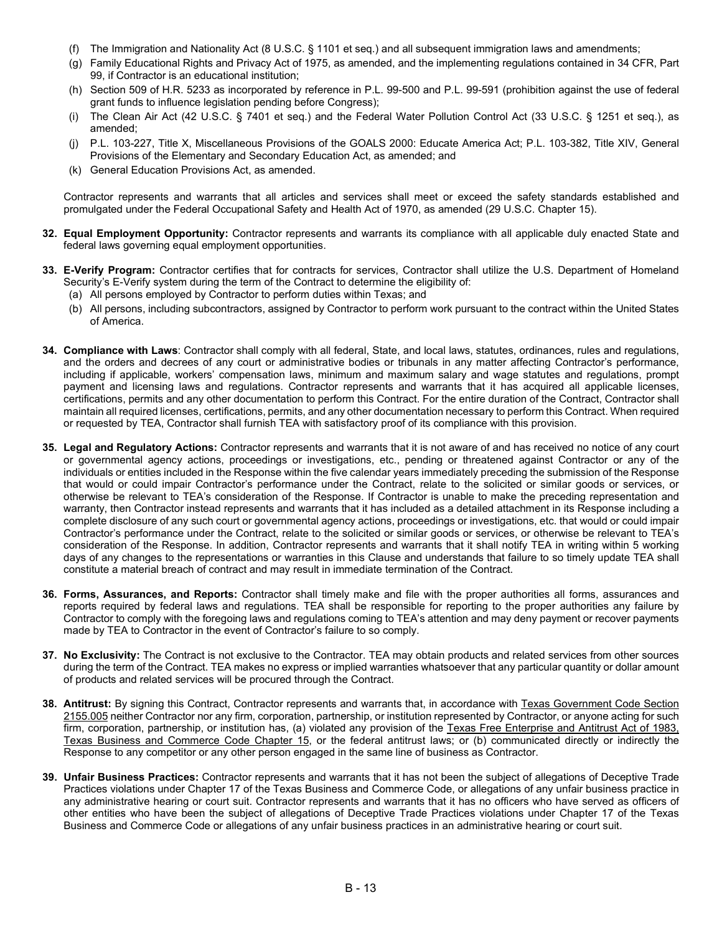- (f) The Immigration and Nationality Act (8 U.S.C. § 1101 et seq.) and all subsequent immigration laws and amendments;
- (g) Family Educational Rights and Privacy Act of 1975, as amended, and the implementing regulations contained in 34 CFR, Part 99, if Contractor is an educational institution;
- (h) Section 509 of H.R. 5233 as incorporated by reference in P.L. 99-500 and P.L. 99-591 (prohibition against the use of federal grant funds to influence legislation pending before Congress);
- (i) The Clean Air Act (42 U.S.C. § 7401 et seq.) and the Federal Water Pollution Control Act (33 U.S.C. § 1251 et seq.), as amended;
- (j) P.L. 103-227, Title X, Miscellaneous Provisions of the GOALS 2000: Educate America Act; P.L. 103-382, Title XIV, General Provisions of the Elementary and Secondary Education Act, as amended; and
- (k) General Education Provisions Act, as amended.

Contractor represents and warrants that all articles and services shall meet or exceed the safety standards established and promulgated under the Federal Occupational Safety and Health Act of 1970, as amended (29 U.S.C. Chapter 15).

- **32. Equal Employment Opportunity:** Contractor represents and warrants its compliance with all applicable duly enacted State and federal laws governing equal employment opportunities.
- **33. E-Verify Program:** Contractor certifies that for contracts for services, Contractor shall utilize the U.S. Department of Homeland Security's E-Verify system during the term of the Contract to determine the eligibility of:
	- (a) All persons employed by Contractor to perform duties within Texas; and
	- (b) All persons, including subcontractors, assigned by Contractor to perform work pursuant to the contract within the United States of America.
- **34. Compliance with Laws**: Contractor shall comply with all federal, State, and local laws, statutes, ordinances, rules and regulations, and the orders and decrees of any court or administrative bodies or tribunals in any matter affecting Contractor's performance, including if applicable, workers' compensation laws, minimum and maximum salary and wage statutes and regulations, prompt payment and licensing laws and regulations. Contractor represents and warrants that it has acquired all applicable licenses, certifications, permits and any other documentation to perform this Contract. For the entire duration of the Contract, Contractor shall maintain all required licenses, certifications, permits, and any other documentation necessary to perform this Contract. When required or requested by TEA, Contractor shall furnish TEA with satisfactory proof of its compliance with this provision.
- **35. Legal and Regulatory Actions:** Contractor represents and warrants that it is not aware of and has received no notice of any court or governmental agency actions, proceedings or investigations, etc., pending or threatened against Contractor or any of the individuals or entities included in the Response within the five calendar years immediately preceding the submission of the Response that would or could impair Contractor's performance under the Contract, relate to the solicited or similar goods or services, or otherwise be relevant to TEA's consideration of the Response. If Contractor is unable to make the preceding representation and warranty, then Contractor instead represents and warrants that it has included as a detailed attachment in its Response including a complete disclosure of any such court or governmental agency actions, proceedings or investigations, etc. that would or could impair Contractor's performance under the Contract, relate to the solicited or similar goods or services, or otherwise be relevant to TEA's consideration of the Response. In addition, Contractor represents and warrants that it shall notify TEA in writing within 5 working days of any changes to the representations or warranties in this Clause and understands that failure to so timely update TEA shall constitute a material breach of contract and may result in immediate termination of the Contract.
- **36. Forms, Assurances, and Reports:** Contractor shall timely make and file with the proper authorities all forms, assurances and reports required by federal laws and regulations. TEA shall be responsible for reporting to the proper authorities any failure by Contractor to comply with the foregoing laws and regulations coming to TEA's attention and may deny payment or recover payments made by TEA to Contractor in the event of Contractor's failure to so comply.
- **37. No Exclusivity:** The Contract is not exclusive to the Contractor. TEA may obtain products and related services from other sources during the term of the Contract. TEA makes no express or implied warranties whatsoever that any particular quantity or dollar amount of products and related services will be procured through the Contract.
- **38. Antitrust:** By signing this Contract, Contractor represents and warrants that, in accordance with Texas Government Code Section [2155.005](https://statutes.capitol.texas.gov/Docs/GV/htm/GV.2155.htm) neither Contractor nor any firm, corporation, partnership, or institution represented by Contractor, or anyone acting for such firm, corporation, partnership, or institution has, (a) violated any provision of the [Texas Free Enterprise and Antitrust Act of 1983,](https://statutes.capitol.texas.gov/Docs/BC/htm/BC.15.htm) [Texas Business and Commerce Code Chapter 15,](http://www.statutes.legis.state.tx.us/Docs/BC/htm/BC.15.htm) or the federal antitrust laws; or (b) communicated directly or indirectly the Response to any competitor or any other person engaged in the same line of business as Contractor.
- **39. Unfair Business Practices:** Contractor represents and warrants that it has not been the subject of allegations of Deceptive Trade Practices violations under Chapter 17 of the Texas Business and Commerce Code, or allegations of any unfair business practice in any administrative hearing or court suit. Contractor represents and warrants that it has no officers who have served as officers of other entities who have been the subject of allegations of Deceptive Trade Practices violations under Chapter 17 of the Texas Business and Commerce Code or allegations of any unfair business practices in an administrative hearing or court suit.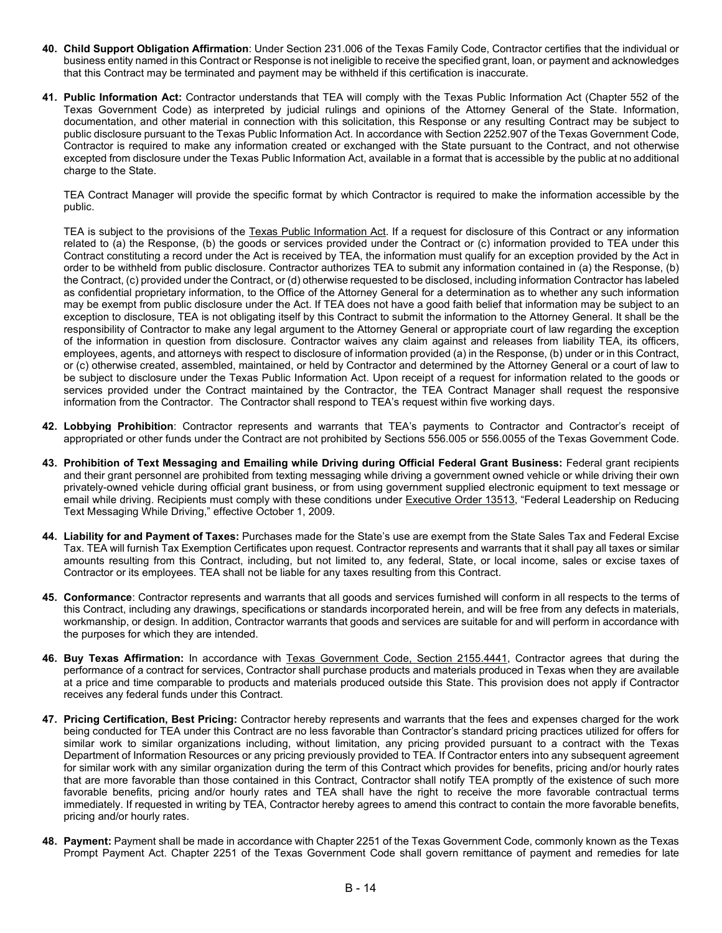- **40. Child Support Obligation Affirmation**: Under Section 231.006 of the Texas Family Code, Contractor certifies that the individual or business entity named in this Contract or Response is not ineligible to receive the specified grant, loan, or payment and acknowledges that this Contract may be terminated and payment may be withheld if this certification is inaccurate.
- **41. Public Information Act:** Contractor understands that TEA will comply with the Texas Public Information Act (Chapter 552 of the Texas Government Code) as interpreted by judicial rulings and opinions of the Attorney General of the State. Information, documentation, and other material in connection with this solicitation, this Response or any resulting Contract may be subject to public disclosure pursuant to the Texas Public Information Act. In accordance with Section 2252.907 of the Texas Government Code, Contractor is required to make any information created or exchanged with the State pursuant to the Contract, and not otherwise excepted from disclosure under the Texas Public Information Act, available in a format that is accessible by the public at no additional charge to the State.

TEA Contract Manager will provide the specific format by which Contractor is required to make the information accessible by the public.

TEA is subject to the provisions of the [Texas Public Information Act.](http://www.statutes.legis.state.tx.us/Docs/GV/htm/GV.552.htm) If a request for disclosure of this Contract or any information related to (a) the Response, (b) the goods or services provided under the Contract or (c) information provided to TEA under this Contract constituting a record under the Act is received by TEA, the information must qualify for an exception provided by the Act in order to be withheld from public disclosure. Contractor authorizes TEA to submit any information contained in (a) the Response, (b) the Contract, (c) provided under the Contract, or (d) otherwise requested to be disclosed, including information Contractor has labeled as confidential proprietary information, to the Office of the Attorney General for a determination as to whether any such information may be exempt from public disclosure under the Act. If TEA does not have a good faith belief that information may be subject to an exception to disclosure, TEA is not obligating itself by this Contract to submit the information to the Attorney General. It shall be the responsibility of Contractor to make any legal argument to the Attorney General or appropriate court of law regarding the exception of the information in question from disclosure. Contractor waives any claim against and releases from liability TEA, its officers, employees, agents, and attorneys with respect to disclosure of information provided (a) in the Response, (b) under or in this Contract, or (c) otherwise created, assembled, maintained, or held by Contractor and determined by the Attorney General or a court of law to be subject to disclosure under the Texas Public Information Act. Upon receipt of a request for information related to the goods or services provided under the Contract maintained by the Contractor, the TEA Contract Manager shall request the responsive information from the Contractor. The Contractor shall respond to TEA's request within five working days.

- **42. Lobbying Prohibition**: Contractor represents and warrants that TEA's payments to Contractor and Contractor's receipt of appropriated or other funds under the Contract are not prohibited by Sections 556.005 or 556.0055 of the Texas Government Code.
- **43. Prohibition of Text Messaging and Emailing while Driving during Official Federal Grant Business:** Federal grant recipients and their grant personnel are prohibited from texting messaging while driving a government owned vehicle or while driving their own privately-owned vehicle during official grant business, or from using government supplied electronic equipment to text message or email while driving. Recipients must comply with these conditions under **Executive Order 13513**, "Federal Leadership on Reducing Text Messaging While Driving," effective October 1, 2009.
- **44. Liability for and Payment of Taxes:** Purchases made for the State's use are exempt from the State Sales Tax and Federal Excise Tax. TEA will furnish Tax Exemption Certificates upon request. Contractor represents and warrants that it shall pay all taxes or similar amounts resulting from this Contract, including, but not limited to, any federal, State, or local income, sales or excise taxes of Contractor or its employees. TEA shall not be liable for any taxes resulting from this Contract.
- **45. Conformance**: Contractor represents and warrants that all goods and services furnished will conform in all respects to the terms of this Contract, including any drawings, specifications or standards incorporated herein, and will be free from any defects in materials, workmanship, or design. In addition, Contractor warrants that goods and services are suitable for and will perform in accordance with the purposes for which they are intended.
- **46. Buy Texas Affirmation:** In accordance with [Texas Government Code, Section 2155.4441,](http://www.statutes.legis.state.tx.us/Docs/GV/htm/GV.2155.htm) Contractor agrees that during the performance of a contract for services, Contractor shall purchase products and materials produced in Texas when they are available at a price and time comparable to products and materials produced outside this State. This provision does not apply if Contractor receives any federal funds under this Contract.
- **47. Pricing Certification, Best Pricing:** Contractor hereby represents and warrants that the fees and expenses charged for the work being conducted for TEA under this Contract are no less favorable than Contractor's standard pricing practices utilized for offers for similar work to similar organizations including, without limitation, any pricing provided pursuant to a contract with the Texas Department of Information Resources or any pricing previously provided to TEA. If Contractor enters into any subsequent agreement for similar work with any similar organization during the term of this Contract which provides for benefits, pricing and/or hourly rates that are more favorable than those contained in this Contract, Contractor shall notify TEA promptly of the existence of such more favorable benefits, pricing and/or hourly rates and TEA shall have the right to receive the more favorable contractual terms immediately. If requested in writing by TEA, Contractor hereby agrees to amend this contract to contain the more favorable benefits, pricing and/or hourly rates.
- **48. Payment:** Payment shall be made in accordance with Chapter 2251 of the Texas Government Code, commonly known as the Texas Prompt Payment Act. Chapter 2251 of the Texas Government Code shall govern remittance of payment and remedies for late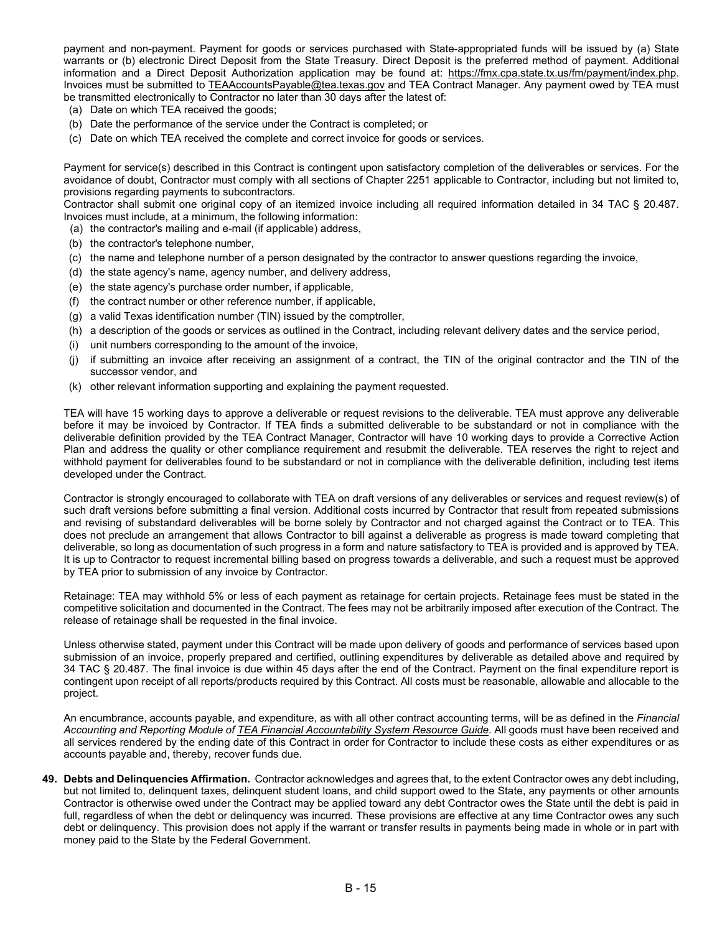payment and non-payment. Payment for goods or services purchased with State-appropriated funds will be issued by (a) State warrants or (b) electronic Direct Deposit from the State Treasury. Direct Deposit is the preferred method of payment. Additional information and a Direct Deposit Authorization application may be found at: [https://fmx.cpa.state.tx.us/fm/payment/index.php.](https://fmx.cpa.state.tx.us/fm/payment/index.php) Invoices must be submitted to [TEAAccountsPayable@tea.texas.gov](mailto:TEAAccountsPayable@tea.texas.gov) and TEA Contract Manager. Any payment owed by TEA must be transmitted electronically to Contractor no later than 30 days after the latest of:

- (a) Date on which TEA received the goods;
- (b) Date the performance of the service under the Contract is completed; or
- (c) Date on which TEA received the complete and correct invoice for goods or services.

Payment for service(s) described in this Contract is contingent upon satisfactory completion of the deliverables or services. For the avoidance of doubt, Contractor must comply with all sections of Chapter 2251 applicable to Contractor, including but not limited to, provisions regarding payments to subcontractors.

Contractor shall submit one original copy of an itemized invoice including all required information detailed in 34 TAC § 20.487. Invoices must include, at a minimum, the following information:

- (a) the contractor's mailing and e-mail (if applicable) address,
- (b) the contractor's telephone number,
- (c) the name and telephone number of a person designated by the contractor to answer questions regarding the invoice,
- (d) the state agency's name, agency number, and delivery address,
- (e) the state agency's purchase order number, if applicable,
- (f) the contract number or other reference number, if applicable,
- (g) a valid Texas identification number (TIN) issued by the comptroller,
- (h) a description of the goods or services as outlined in the Contract, including relevant delivery dates and the service period,
- (i) unit numbers corresponding to the amount of the invoice,
- (j) if submitting an invoice after receiving an assignment of a contract, the TIN of the original contractor and the TIN of the successor vendor, and
- (k) other relevant information supporting and explaining the payment requested.

TEA will have 15 working days to approve a deliverable or request revisions to the deliverable. TEA must approve any deliverable before it may be invoiced by Contractor. If TEA finds a submitted deliverable to be substandard or not in compliance with the deliverable definition provided by the TEA Contract Manager, Contractor will have 10 working days to provide a Corrective Action Plan and address the quality or other compliance requirement and resubmit the deliverable. TEA reserves the right to reject and withhold payment for deliverables found to be substandard or not in compliance with the deliverable definition, including test items developed under the Contract.

Contractor is strongly encouraged to collaborate with TEA on draft versions of any deliverables or services and request review(s) of such draft versions before submitting a final version. Additional costs incurred by Contractor that result from repeated submissions and revising of substandard deliverables will be borne solely by Contractor and not charged against the Contract or to TEA. This does not preclude an arrangement that allows Contractor to bill against a deliverable as progress is made toward completing that deliverable, so long as documentation of such progress in a form and nature satisfactory to TEA is provided and is approved by TEA. It is up to Contractor to request incremental billing based on progress towards a deliverable, and such a request must be approved by TEA prior to submission of any invoice by Contractor.

Retainage: TEA may withhold 5% or less of each payment as retainage for certain projects. Retainage fees must be stated in the competitive solicitation and documented in the Contract. The fees may not be arbitrarily imposed after execution of the Contract. The release of retainage shall be requested in the final invoice.

Unless otherwise stated, payment under this Contract will be made upon delivery of goods and performance of services based upon submission of an invoice, properly prepared and certified, outlining expenditures by deliverable as detailed above and required by 34 TAC § 20.487. The final invoice is due within 45 days after the end of the Contract. Payment on the final expenditure report is contingent upon receipt of all reports/products required by this Contract. All costs must be reasonable, allowable and allocable to the project.

An encumbrance, accounts payable, and expenditure, as with all other contract accounting terms, will be as defined in the *Financial Accounting and Reporting Module o[f TEA Financial Accountability System Resource Guide](http://tea.texas.gov/Finance_and_Grants/Financial_Accountability/Financial__Accountability_System_Resource_Guide/)*. All goods must have been received and all services rendered by the ending date of this Contract in order for Contractor to include these costs as either expenditures or as accounts payable and, thereby, recover funds due.

**49. Debts and Delinquencies Affirmation.** Contractor acknowledges and agrees that, to the extent Contractor owes any debt including, but not limited to, delinquent taxes, delinquent student loans, and child support owed to the State, any payments or other amounts Contractor is otherwise owed under the Contract may be applied toward any debt Contractor owes the State until the debt is paid in full, regardless of when the debt or delinquency was incurred. These provisions are effective at any time Contractor owes any such debt or delinquency. This provision does not apply if the warrant or transfer results in payments being made in whole or in part with money paid to the State by the Federal Government.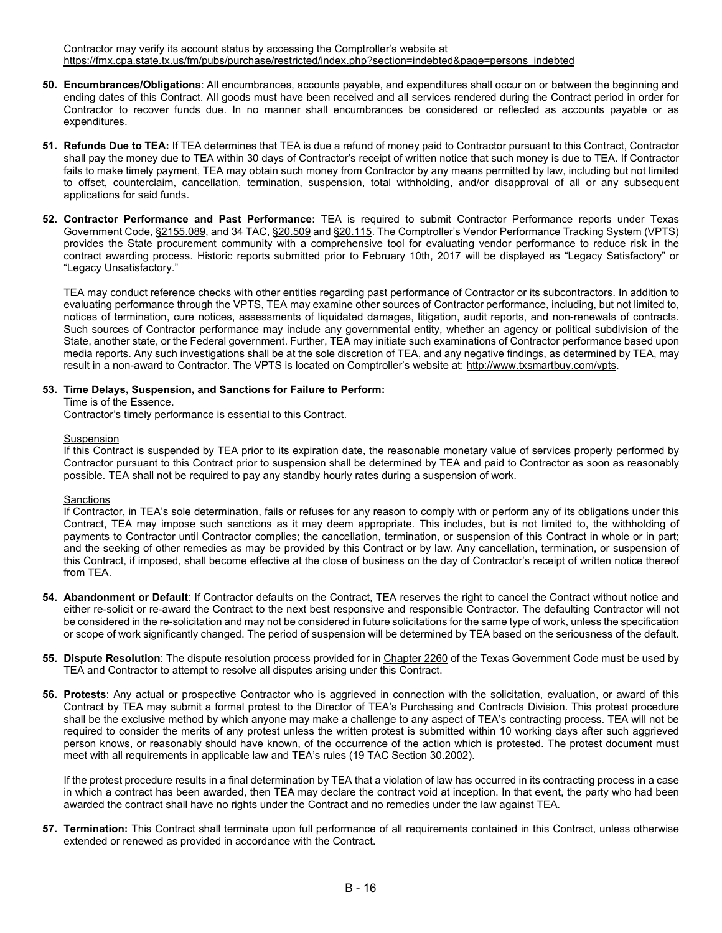Contractor may verify its account status by accessing the Comptroller's website at [https://fmx.cpa.state.tx.us/fm/pubs/purchase/restricted/index.php?section=indebted&page=persons\\_indebted](https://fmx.cpa.state.tx.us/fm/pubs/purchase/restricted/index.php?section=indebted&page=persons_indebted)

- **50. Encumbrances/Obligations**: All encumbrances, accounts payable, and expenditures shall occur on or between the beginning and ending dates of this Contract. All goods must have been received and all services rendered during the Contract period in order for Contractor to recover funds due. In no manner shall encumbrances be considered or reflected as accounts payable or as expenditures.
- **51. Refunds Due to TEA:** If TEA determines that TEA is due a refund of money paid to Contractor pursuant to this Contract, Contractor shall pay the money due to TEA within 30 days of Contractor's receipt of written notice that such money is due to TEA. If Contractor fails to make timely payment, TEA may obtain such money from Contractor by any means permitted by law, including but not limited to offset, counterclaim, cancellation, termination, suspension, total withholding, and/or disapproval of all or any subsequent applications for said funds.
- **52. Contractor Performance and Past Performance:** TEA is required to submit Contractor Performance reports under Texas Government Code, [§2155.089,](http://www.statutes.legis.state.tx.us/Docs/GV/htm/GV.2155.htm) and 34 TAC, [§20.509](http://texreg.sos.state.tx.us/public/readtac$ext.TacPage?sl=R&app=9&p_dir=&p_rloc=&p_tloc=&p_ploc=&pg=1&p_tac=&ti=34&pt=1&ch=20&rl=509) and [§20.115.](http://texreg.sos.state.tx.us/public/readtac$ext.TacPage?sl=R&app=9&p_dir=&p_rloc=&p_tloc=&p_ploc=&pg=1&p_tac=&ti=34&pt=1&ch=20&rl=115) The Comptroller's Vendor Performance Tracking System (VPTS) provides the State procurement community with a comprehensive tool for evaluating vendor performance to reduce risk in the contract awarding process. Historic reports submitted prior to February 10th, 2017 will be displayed as "Legacy Satisfactory" or "Legacy Unsatisfactory."

TEA may conduct reference checks with other entities regarding past performance of Contractor or its subcontractors. In addition to evaluating performance through the VPTS, TEA may examine other sources of Contractor performance, including, but not limited to, notices of termination, cure notices, assessments of liquidated damages, litigation, audit reports, and non-renewals of contracts. Such sources of Contractor performance may include any governmental entity, whether an agency or political subdivision of the State, another state, or the Federal government. Further, TEA may initiate such examinations of Contractor performance based upon media reports. Any such investigations shall be at the sole discretion of TEA, and any negative findings, as determined by TEA, may result in a non-award to Contractor. The VPTS is located on Comptroller's website at[: http://www.txsmartbuy.com/vpts.](http://www.txsmartbuy.com/vpts)

#### **53. Time Delays, Suspension, and Sanctions for Failure to Perform:**

Time is of the Essence.

Contractor's timely performance is essential to this Contract.

#### Suspension

If this Contract is suspended by TEA prior to its expiration date, the reasonable monetary value of services properly performed by Contractor pursuant to this Contract prior to suspension shall be determined by TEA and paid to Contractor as soon as reasonably possible*.* TEA shall not be required to pay any standby hourly rates during a suspension of work.

### **Sanctions**

If Contractor, in TEA's sole determination, fails or refuses for any reason to comply with or perform any of its obligations under this Contract, TEA may impose such sanctions as it may deem appropriate. This includes, but is not limited to, the withholding of payments to Contractor until Contractor complies; the cancellation, termination, or suspension of this Contract in whole or in part; and the seeking of other remedies as may be provided by this Contract or by law. Any cancellation, termination, or suspension of this Contract, if imposed, shall become effective at the close of business on the day of Contractor's receipt of written notice thereof from TEA.

- **54. Abandonment or Default**: If Contractor defaults on the Contract, TEA reserves the right to cancel the Contract without notice and either re-solicit or re-award the Contract to the next best responsive and responsible Contractor. The defaulting Contractor will not be considered in the re-solicitation and may not be considered in future solicitations for the same type of work, unless the specification or scope of work significantly changed. The period of suspension will be determined by TEA based on the seriousness of the default.
- **55. Dispute Resolution**: The dispute resolution process provided for in [Chapter 2260](http://www.statutes.legis.state.tx.us/Docs/GV/htm/GV.2260.htm) of the Texas Government Code must be used by TEA and Contractor to attempt to resolve all disputes arising under this Contract.
- **56. Protests**: Any actual or prospective Contractor who is aggrieved in connection with the solicitation, evaluation, or award of this Contract by TEA may submit a formal protest to the Director of TEA's Purchasing and Contracts Division. This protest procedure shall be the exclusive method by which anyone may make a challenge to any aspect of TEA's contracting process. TEA will not be required to consider the merits of any protest unless the written protest is submitted within 10 working days after such aggrieved person knows, or reasonably should have known, of the occurrence of the action which is protested. The protest document must meet with all requirements in applicable law and TEA's rules [\(19 TAC Section 30.2002\)](http://ritter.tea.state.tx.us/rules/tac/chapter030/ch030bb.html#30.2002).

If the protest procedure results in a final determination by TEA that a violation of law has occurred in its contracting process in a case in which a contract has been awarded, then TEA may declare the contract void at inception. In that event, the party who had been awarded the contract shall have no rights under the Contract and no remedies under the law against TEA.

**57. Termination:** This Contract shall terminate upon full performance of all requirements contained in this Contract, unless otherwise extended or renewed as provided in accordance with the Contract.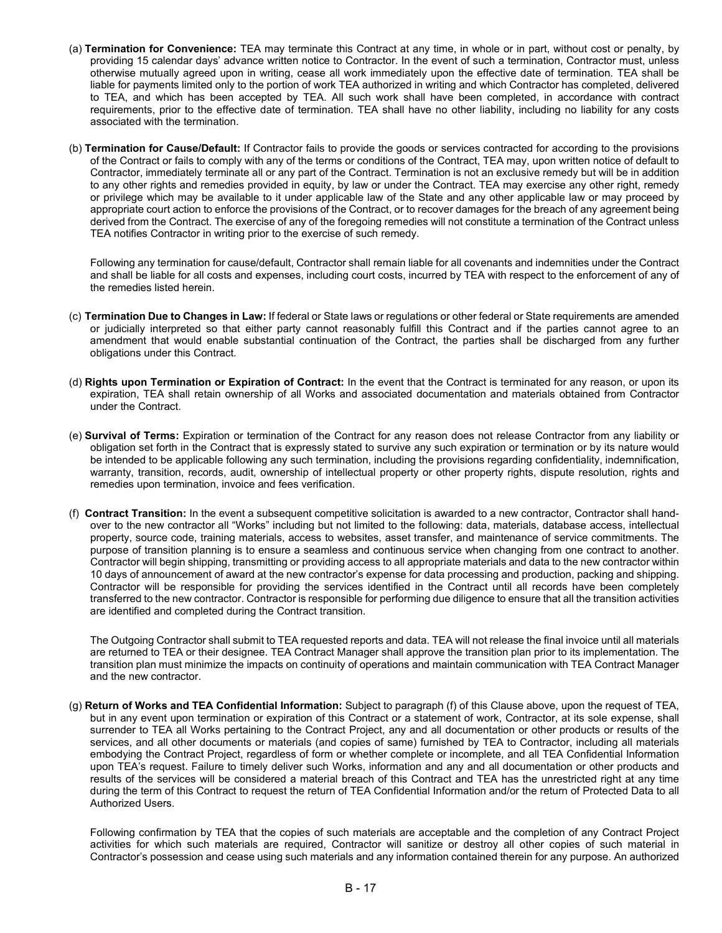- (a) **Termination for Convenience:** TEA may terminate this Contract at any time, in whole or in part, without cost or penalty, by providing 15 calendar days' advance written notice to Contractor. In the event of such a termination, Contractor must, unless otherwise mutually agreed upon in writing, cease all work immediately upon the effective date of termination. TEA shall be liable for payments limited only to the portion of work TEA authorized in writing and which Contractor has completed, delivered to TEA, and which has been accepted by TEA. All such work shall have been completed, in accordance with contract requirements, prior to the effective date of termination. TEA shall have no other liability, including no liability for any costs associated with the termination.
- (b) **Termination for Cause/Default:** If Contractor fails to provide the goods or services contracted for according to the provisions of the Contract or fails to comply with any of the terms or conditions of the Contract, TEA may, upon written notice of default to Contractor, immediately terminate all or any part of the Contract. Termination is not an exclusive remedy but will be in addition to any other rights and remedies provided in equity, by law or under the Contract. TEA may exercise any other right, remedy or privilege which may be available to it under applicable law of the State and any other applicable law or may proceed by appropriate court action to enforce the provisions of the Contract, or to recover damages for the breach of any agreement being derived from the Contract. The exercise of any of the foregoing remedies will not constitute a termination of the Contract unless TEA notifies Contractor in writing prior to the exercise of such remedy.

Following any termination for cause/default, Contractor shall remain liable for all covenants and indemnities under the Contract and shall be liable for all costs and expenses, including court costs, incurred by TEA with respect to the enforcement of any of the remedies listed herein.

- (c) **Termination Due to Changes in Law:** If federal or State laws or regulations or other federal or State requirements are amended or judicially interpreted so that either party cannot reasonably fulfill this Contract and if the parties cannot agree to an amendment that would enable substantial continuation of the Contract, the parties shall be discharged from any further obligations under this Contract.
- (d) **Rights upon Termination or Expiration of Contract:** In the event that the Contract is terminated for any reason, or upon its expiration, TEA shall retain ownership of all Works and associated documentation and materials obtained from Contractor under the Contract.
- (e) **Survival of Terms:** Expiration or termination of the Contract for any reason does not release Contractor from any liability or obligation set forth in the Contract that is expressly stated to survive any such expiration or termination or by its nature would be intended to be applicable following any such termination, including the provisions regarding confidentiality, indemnification, warranty, transition, records, audit, ownership of intellectual property or other property rights, dispute resolution, rights and remedies upon termination, invoice and fees verification.
- (f) **Contract Transition:** In the event a subsequent competitive solicitation is awarded to a new contractor, Contractor shall handover to the new contractor all "Works" including but not limited to the following: data, materials, database access, intellectual property, source code, training materials, access to websites, asset transfer, and maintenance of service commitments. The purpose of transition planning is to ensure a seamless and continuous service when changing from one contract to another. Contractor will begin shipping, transmitting or providing access to all appropriate materials and data to the new contractor within 10 days of announcement of award at the new contractor's expense for data processing and production, packing and shipping. Contractor will be responsible for providing the services identified in the Contract until all records have been completely transferred to the new contractor. Contractor is responsible for performing due diligence to ensure that all the transition activities are identified and completed during the Contract transition.

The Outgoing Contractor shall submit to TEA requested reports and data. TEA will not release the final invoice until all materials are returned to TEA or their designee. TEA Contract Manager shall approve the transition plan prior to its implementation. The transition plan must minimize the impacts on continuity of operations and maintain communication with TEA Contract Manager and the new contractor.

(g) **Return of Works and TEA Confidential Information:** Subject to paragraph (f) of this Clause above, upon the request of TEA, but in any event upon termination or expiration of this Contract or a statement of work, Contractor, at its sole expense, shall surrender to TEA all Works pertaining to the Contract Project, any and all documentation or other products or results of the services, and all other documents or materials (and copies of same) furnished by TEA to Contractor, including all materials embodying the Contract Project, regardless of form or whether complete or incomplete, and all TEA Confidential Information upon TEA's request. Failure to timely deliver such Works, information and any and all documentation or other products and results of the services will be considered a material breach of this Contract and TEA has the unrestricted right at any time during the term of this Contract to request the return of TEA Confidential Information and/or the return of Protected Data to all Authorized Users.

Following confirmation by TEA that the copies of such materials are acceptable and the completion of any Contract Project activities for which such materials are required, Contractor will sanitize or destroy all other copies of such material in Contractor's possession and cease using such materials and any information contained therein for any purpose. An authorized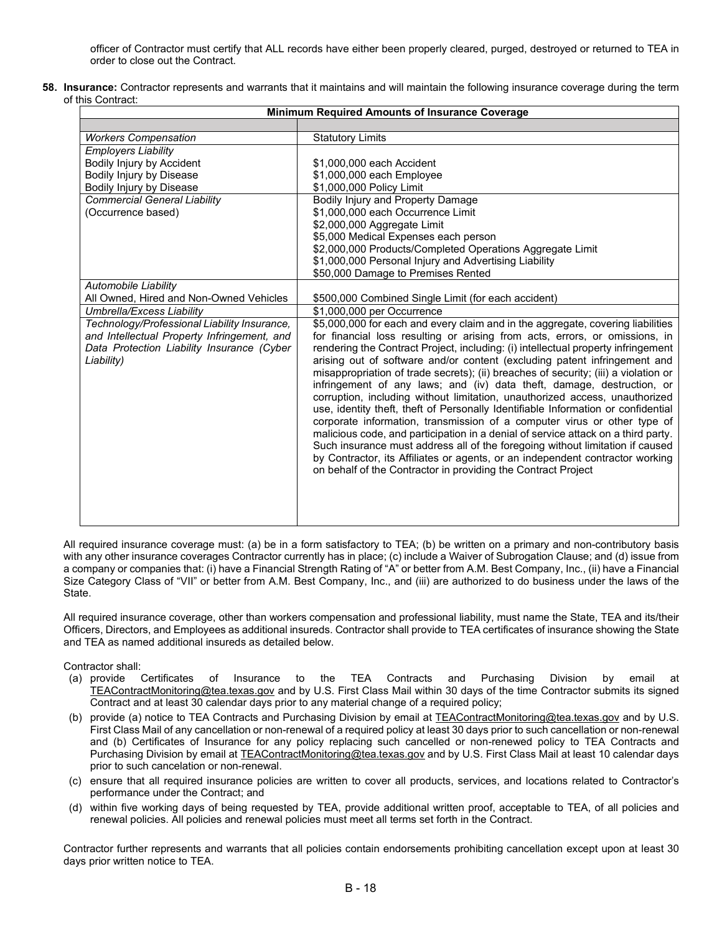officer of Contractor must certify that ALL records have either been properly cleared, purged, destroyed or returned to TEA in order to close out the Contract.

**58. Insurance:** Contractor represents and warrants that it maintains and will maintain the following insurance coverage during the term of this Contract:

| <b>Minimum Required Amounts of Insurance Coverage</b>                                                                                                   |                                                                                                                                                                                                                                                                                                                                                                                                                                                                                                                                                                                                                                                                                                                                                                                                                                                                                                                                                                                                                                                                           |  |
|---------------------------------------------------------------------------------------------------------------------------------------------------------|---------------------------------------------------------------------------------------------------------------------------------------------------------------------------------------------------------------------------------------------------------------------------------------------------------------------------------------------------------------------------------------------------------------------------------------------------------------------------------------------------------------------------------------------------------------------------------------------------------------------------------------------------------------------------------------------------------------------------------------------------------------------------------------------------------------------------------------------------------------------------------------------------------------------------------------------------------------------------------------------------------------------------------------------------------------------------|--|
|                                                                                                                                                         |                                                                                                                                                                                                                                                                                                                                                                                                                                                                                                                                                                                                                                                                                                                                                                                                                                                                                                                                                                                                                                                                           |  |
| <b>Workers Compensation</b>                                                                                                                             | <b>Statutory Limits</b>                                                                                                                                                                                                                                                                                                                                                                                                                                                                                                                                                                                                                                                                                                                                                                                                                                                                                                                                                                                                                                                   |  |
| <b>Employers Liability</b>                                                                                                                              |                                                                                                                                                                                                                                                                                                                                                                                                                                                                                                                                                                                                                                                                                                                                                                                                                                                                                                                                                                                                                                                                           |  |
| Bodily Injury by Accident                                                                                                                               | \$1,000,000 each Accident                                                                                                                                                                                                                                                                                                                                                                                                                                                                                                                                                                                                                                                                                                                                                                                                                                                                                                                                                                                                                                                 |  |
| Bodily Injury by Disease                                                                                                                                | \$1,000,000 each Employee                                                                                                                                                                                                                                                                                                                                                                                                                                                                                                                                                                                                                                                                                                                                                                                                                                                                                                                                                                                                                                                 |  |
| Bodily Injury by Disease                                                                                                                                | \$1,000,000 Policy Limit                                                                                                                                                                                                                                                                                                                                                                                                                                                                                                                                                                                                                                                                                                                                                                                                                                                                                                                                                                                                                                                  |  |
| <b>Commercial General Liability</b>                                                                                                                     | Bodily Injury and Property Damage                                                                                                                                                                                                                                                                                                                                                                                                                                                                                                                                                                                                                                                                                                                                                                                                                                                                                                                                                                                                                                         |  |
| (Occurrence based)                                                                                                                                      | \$1,000,000 each Occurrence Limit                                                                                                                                                                                                                                                                                                                                                                                                                                                                                                                                                                                                                                                                                                                                                                                                                                                                                                                                                                                                                                         |  |
|                                                                                                                                                         | \$2,000,000 Aggregate Limit                                                                                                                                                                                                                                                                                                                                                                                                                                                                                                                                                                                                                                                                                                                                                                                                                                                                                                                                                                                                                                               |  |
|                                                                                                                                                         | \$5,000 Medical Expenses each person                                                                                                                                                                                                                                                                                                                                                                                                                                                                                                                                                                                                                                                                                                                                                                                                                                                                                                                                                                                                                                      |  |
|                                                                                                                                                         | \$2,000,000 Products/Completed Operations Aggregate Limit                                                                                                                                                                                                                                                                                                                                                                                                                                                                                                                                                                                                                                                                                                                                                                                                                                                                                                                                                                                                                 |  |
|                                                                                                                                                         | \$1,000,000 Personal Injury and Advertising Liability                                                                                                                                                                                                                                                                                                                                                                                                                                                                                                                                                                                                                                                                                                                                                                                                                                                                                                                                                                                                                     |  |
|                                                                                                                                                         | \$50,000 Damage to Premises Rented                                                                                                                                                                                                                                                                                                                                                                                                                                                                                                                                                                                                                                                                                                                                                                                                                                                                                                                                                                                                                                        |  |
| Automobile Liability                                                                                                                                    |                                                                                                                                                                                                                                                                                                                                                                                                                                                                                                                                                                                                                                                                                                                                                                                                                                                                                                                                                                                                                                                                           |  |
| All Owned, Hired and Non-Owned Vehicles                                                                                                                 | \$500,000 Combined Single Limit (for each accident)                                                                                                                                                                                                                                                                                                                                                                                                                                                                                                                                                                                                                                                                                                                                                                                                                                                                                                                                                                                                                       |  |
| Umbrella/Excess Liability                                                                                                                               | \$1,000,000 per Occurrence                                                                                                                                                                                                                                                                                                                                                                                                                                                                                                                                                                                                                                                                                                                                                                                                                                                                                                                                                                                                                                                |  |
| Technology/Professional Liability Insurance,<br>and Intellectual Property Infringement, and<br>Data Protection Liability Insurance (Cyber<br>Liability) | \$5,000,000 for each and every claim and in the aggregate, covering liabilities<br>for financial loss resulting or arising from acts, errors, or omissions, in<br>rendering the Contract Project, including: (i) intellectual property infringement<br>arising out of software and/or content (excluding patent infringement and<br>misappropriation of trade secrets); (ii) breaches of security; (iii) a violation or<br>infringement of any laws; and (iv) data theft, damage, destruction, or<br>corruption, including without limitation, unauthorized access, unauthorized<br>use, identity theft, theft of Personally Identifiable Information or confidential<br>corporate information, transmission of a computer virus or other type of<br>malicious code, and participation in a denial of service attack on a third party.<br>Such insurance must address all of the foregoing without limitation if caused<br>by Contractor, its Affiliates or agents, or an independent contractor working<br>on behalf of the Contractor in providing the Contract Project |  |

All required insurance coverage must: (a) be in a form satisfactory to TEA; (b) be written on a primary and non-contributory basis with any other insurance coverages Contractor currently has in place; (c) include a Waiver of Subrogation Clause; and (d) issue from a company or companies that: (i) have a Financial Strength Rating of "A" or better from A.M. Best Company, Inc., (ii) have a Financial Size Category Class of "VII" or better from A.M. Best Company, Inc., and (iii) are authorized to do business under the laws of the State.

All required insurance coverage, other than workers compensation and professional liability, must name the State, TEA and its/their Officers, Directors, and Employees as additional insureds. Contractor shall provide to TEA certificates of insurance showing the State and TEA as named additional insureds as detailed below.

- Contractor shall:<br>(a) provide Certificates of Insurance to the TEA Contracts and Purchasing Division by email at [TEAContractMonitoring@tea.texas.gov](mailto:TEAContractMonitoring@tea.texas.gov) and by U.S. First Class Mail within 30 days of the time Contractor submits its signed Contract and at least 30 calendar days prior to any material change of a required policy;
- (b) provide (a) notice to TEA Contracts and Purchasing Division by email at [TEAContractMonitoring@tea.texas.gov](mailto:TEAContractMonitoring@tea.texas.gov) and by U.S. First Class Mail of any cancellation or non-renewal of a required policy at least 30 days prior to such cancellation or non-renewal and (b) Certificates of Insurance for any policy replacing such cancelled or non-renewed policy to TEA Contracts and Purchasing Division by email at [TEAContractMonitoring@tea.texas.gov](mailto:TEAContractMonitoring@tea.texas.gov) and by U.S. First Class Mail at least 10 calendar days prior to such cancelation or non-renewal.
- (c) ensure that all required insurance policies are written to cover all products, services, and locations related to Contractor's performance under the Contract; and
- (d) within five working days of being requested by TEA, provide additional written proof, acceptable to TEA, of all policies and renewal policies. All policies and renewal policies must meet all terms set forth in the Contract.

Contractor further represents and warrants that all policies contain endorsements prohibiting cancellation except upon at least 30 days prior written notice to TEA.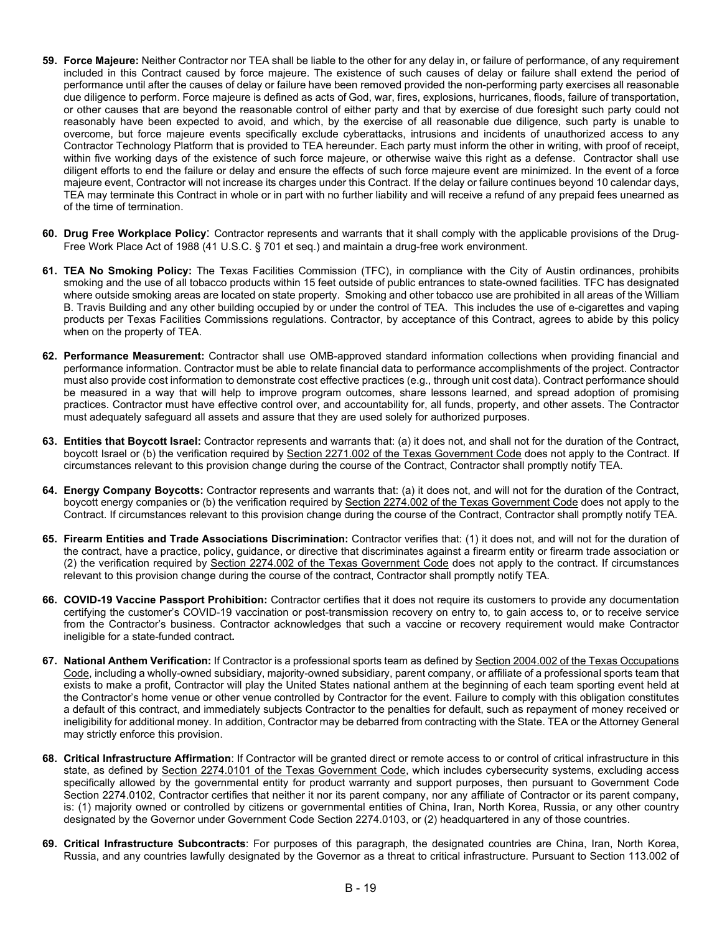- **59. Force Majeure:** Neither Contractor nor TEA shall be liable to the other for any delay in, or failure of performance, of any requirement included in this Contract caused by force majeure. The existence of such causes of delay or failure shall extend the period of performance until after the causes of delay or failure have been removed provided the non-performing party exercises all reasonable due diligence to perform. Force majeure is defined as acts of God, war, fires, explosions, hurricanes, floods, failure of transportation, or other causes that are beyond the reasonable control of either party and that by exercise of due foresight such party could not reasonably have been expected to avoid, and which, by the exercise of all reasonable due diligence, such party is unable to overcome, but force majeure events specifically exclude cyberattacks, intrusions and incidents of unauthorized access to any Contractor Technology Platform that is provided to TEA hereunder. Each party must inform the other in writing, with proof of receipt, within five working days of the existence of such force majeure, or otherwise waive this right as a defense. Contractor shall use diligent efforts to end the failure or delay and ensure the effects of such force majeure event are minimized. In the event of a force majeure event, Contractor will not increase its charges under this Contract. If the delay or failure continues beyond 10 calendar days, TEA may terminate this Contract in whole or in part with no further liability and will receive a refund of any prepaid fees unearned as of the time of termination.
- **60. Drug Free Workplace Policy**: Contractor represents and warrants that it shall comply with the applicable provisions of the Drug-Free Work Place Act of 1988 (41 U.S.C. § 701 et seq.) and maintain a drug-free work environment.
- **61. TEA No Smoking Policy:** The Texas Facilities Commission (TFC), in compliance with the City of Austin ordinances, prohibits smoking and the use of all tobacco products within 15 feet outside of public entrances to state-owned facilities. TFC has designated where outside smoking areas are located on state property. Smoking and other tobacco use are prohibited in all areas of the William B. Travis Building and any other building occupied by or under the control of TEA. This includes the use of e-cigarettes and vaping products per Texas Facilities Commissions regulations. Contractor, by acceptance of this Contract, agrees to abide by this policy when on the property of TEA.
- **62. Performance Measurement:** Contractor shall use OMB-approved standard information collections when providing financial and performance information. Contractor must be able to relate financial data to performance accomplishments of the project. Contractor must also provide cost information to demonstrate cost effective practices (e.g., through unit cost data). Contract performance should be measured in a way that will help to improve program outcomes, share lessons learned, and spread adoption of promising practices. Contractor must have effective control over, and accountability for, all funds, property, and other assets. The Contractor must adequately safeguard all assets and assure that they are used solely for authorized purposes.
- **63. Entities that Boycott Israel:** Contractor represents and warrants that: (a) it does not, and shall not for the duration of the Contract, boycott Israel or (b) the verification required by [Section 2271.002 of the Texas Government Code](https://statutes.capitol.texas.gov/Docs/GV/htm/GV.2271.htm#2271.002) does not apply to the Contract. If circumstances relevant to this provision change during the course of the Contract, Contractor shall promptly notify TEA.
- **64. Energy Company Boycotts:** Contractor represents and warrants that: (a) it does not, and will not for the duration of the Contract, boycott energy companies or (b) the verification required by Section 2274.002 of the Texas Government Code does not apply to the Contract. If circumstances relevant to this provision change during the course of the Contract, Contractor shall promptly notify TEA.
- **65. Firearm Entities and Trade Associations Discrimination:** Contractor verifies that: (1) it does not, and will not for the duration of the contract, have a practice, policy, guidance, or directive that discriminates against a firearm entity or firearm trade association or (2) the verification required by Section 2274.002 of the Texas Government Code does not apply to the contract. If circumstances relevant to this provision change during the course of the contract, Contractor shall promptly notify TEA.
- **66. COVID-19 Vaccine Passport Prohibition:** Contractor certifies that it does not require its customers to provide any documentation certifying the customer's COVID-19 vaccination or post-transmission recovery on entry to, to gain access to, or to receive service from the Contractor's business. Contractor acknowledges that such a vaccine or recovery requirement would make Contractor ineligible for a state-funded contract**.**
- **67. National Anthem Verification:** If Contractor is a professional sports team as defined by [Section 2004.002 of the Texas Occupations](https://statutes.capitol.texas.gov/Docs/OC/htm/OC.2004.htm#2004.002)  [Code,](https://statutes.capitol.texas.gov/Docs/OC/htm/OC.2004.htm#2004.002) including a wholly-owned subsidiary, majority-owned subsidiary, parent company, or affiliate of a professional sports team that exists to make a profit, Contractor will play the United States national anthem at the beginning of each team sporting event held at the Contractor's home venue or other venue controlled by Contractor for the event. Failure to comply with this obligation constitutes a default of this contract, and immediately subjects Contractor to the penalties for default, such as repayment of money received or ineligibility for additional money. In addition, Contractor may be debarred from contracting with the State. TEA or the Attorney General may strictly enforce this provision.
- **68. Critical Infrastructure Affirmation**: If Contractor will be granted direct or remote access to or control of critical infrastructure in this state, as defined by Section 2274.0101 [of the Texas Government Code,](https://statutes.capitol.texas.gov/Docs/GV/htm/GV.2274.htm#2274.0102) which includes cybersecurity systems, excluding access specifically allowed by the governmental entity for product warranty and support purposes, then pursuant to Government Code Section 2274.0102, Contractor certifies that neither it nor its parent company, nor any affiliate of Contractor or its parent company, is: (1) majority owned or controlled by citizens or governmental entities of China, Iran, North Korea, Russia, or any other country designated by the Governor under Government Code Section 2274.0103, or (2) headquartered in any of those countries.
- **69. Critical Infrastructure Subcontracts**: For purposes of this paragraph, the designated countries are China, Iran, North Korea, Russia, and any countries lawfully designated by the Governor as a threat to critical infrastructure. Pursuant to Section 113.002 of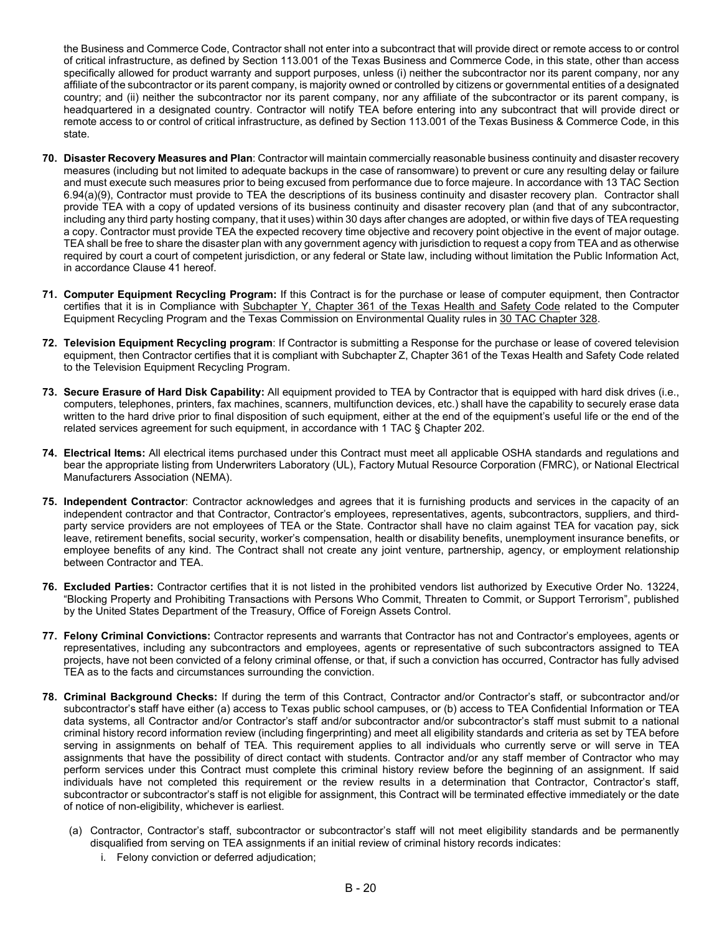the Business and Commerce Code, Contractor shall not enter into a subcontract that will provide direct or remote access to or control of critical infrastructure, as defined by Section 113.001 of the Texas Business and Commerce Code, in this state, other than access specifically allowed for product warranty and support purposes, unless (i) neither the subcontractor nor its parent company, nor any affiliate of the subcontractor or its parent company, is majority owned or controlled by citizens or governmental entities of a designated country; and (ii) neither the subcontractor nor its parent company, nor any affiliate of the subcontractor or its parent company, is headquartered in a designated country. Contractor will notify TEA before entering into any subcontract that will provide direct or remote access to or control of critical infrastructure, as defined by Section 113.001 of the Texas Business & Commerce Code, in this state.

- **70. Disaster Recovery Measures and Plan**: Contractor will maintain commercially reasonable business continuity and disaster recovery measures (including but not limited to adequate backups in the case of ransomware) to prevent or cure any resulting delay or failure and must execute such measures prior to being excused from performance due to force majeure. In accordance with 13 TAC Section 6.94(a)(9), Contractor must provide to TEA the descriptions of its business continuity and disaster recovery plan. Contractor shall provide TEA with a copy of updated versions of its business continuity and disaster recovery plan (and that of any subcontractor, including any third party hosting company, that it uses) within 30 days after changes are adopted, or within five days of TEA requesting a copy. Contractor must provide TEA the expected recovery time objective and recovery point objective in the event of major outage. TEA shall be free to share the disaster plan with any government agency with jurisdiction to request a copy from TEA and as otherwise required by court a court of competent jurisdiction, or any federal or State law, including without limitation the Public Information Act, in accordance Clause 41 hereof.
- **71. Computer Equipment Recycling Program:** If this Contract is for the purchase or lease of computer equipment, then Contractor certifies that it is in Compliance [with Subchapter Y, Chapter 361 of the Texas Health and Safety Code](https://statutes.capitol.texas.gov/Docs/HS/pdf/HS.361.pdf) related to the Computer Equipment Recycling Program and the Texas Commission on Environmental Quality rules in [30 TAC Chapter 328.](http://texreg.sos.state.tx.us/public/readtac$ext.ViewTAC?tac_view=4&ti=30&pt=1&ch=328)
- **72. Television Equipment Recycling program**: If Contractor is submitting a Response for the purchase or lease of covered television equipment, then Contractor certifies that it is compliant with Subchapter Z, Chapter 361 of the Texas Health and Safety Code related to the Television Equipment Recycling Program.
- **73. Secure Erasure of Hard Disk Capability:** All equipment provided to TEA by Contractor that is equipped with hard disk drives (i.e., computers, telephones, printers, fax machines, scanners, multifunction devices, etc.) shall have the capability to securely erase data written to the hard drive prior to final disposition of such equipment, either at the end of the equipment's useful life or the end of the related services agreement for such equipment, in accordance with 1 TAC § Chapter 202.
- **74. Electrical Items:** All electrical items purchased under this Contract must meet all applicable OSHA standards and regulations and bear the appropriate listing from Underwriters Laboratory (UL), Factory Mutual Resource Corporation (FMRC), or National Electrical Manufacturers Association (NEMA).
- **75. Independent Contractor**: Contractor acknowledges and agrees that it is furnishing products and services in the capacity of an independent contractor and that Contractor, Contractor's employees, representatives, agents, subcontractors, suppliers, and thirdparty service providers are not employees of TEA or the State. Contractor shall have no claim against TEA for vacation pay, sick leave, retirement benefits, social security, worker's compensation, health or disability benefits, unemployment insurance benefits, or employee benefits of any kind. The Contract shall not create any joint venture, partnership, agency, or employment relationship between Contractor and TEA.
- **76. Excluded Parties:** Contractor certifies that it is not listed in the prohibited vendors list authorized by Executive Order No. 13224, "Blocking Property and Prohibiting Transactions with Persons Who Commit, Threaten to Commit, or Support Terrorism", published by the United States Department of the Treasury, Office of Foreign Assets Control.
- **77. Felony Criminal Convictions:** Contractor represents and warrants that Contractor has not and Contractor's employees, agents or representatives, including any subcontractors and employees, agents or representative of such subcontractors assigned to TEA projects, have not been convicted of a felony criminal offense, or that, if such a conviction has occurred, Contractor has fully advised TEA as to the facts and circumstances surrounding the conviction.
- **78. Criminal Background Checks:** If during the term of this Contract, Contractor and/or Contractor's staff, or subcontractor and/or subcontractor's staff have either (a) access to Texas public school campuses, or (b) access to TEA Confidential Information or TEA data systems, all Contractor and/or Contractor's staff and/or subcontractor and/or subcontractor's staff must submit to a national criminal history record information review (including fingerprinting) and meet all eligibility standards and criteria as set by TEA before serving in assignments on behalf of TEA. This requirement applies to all individuals who currently serve or will serve in TEA assignments that have the possibility of direct contact with students. Contractor and/or any staff member of Contractor who may perform services under this Contract must complete this criminal history review before the beginning of an assignment. If said individuals have not completed this requirement or the review results in a determination that Contractor, Contractor's staff, subcontractor or subcontractor's staff is not eligible for assignment, this Contract will be terminated effective immediately or the date of notice of non-eligibility, whichever is earliest.
	- (a) Contractor, Contractor's staff, subcontractor or subcontractor's staff will not meet eligibility standards and be permanently disqualified from serving on TEA assignments if an initial review of criminal history records indicates:
		- i. Felony conviction or deferred adjudication;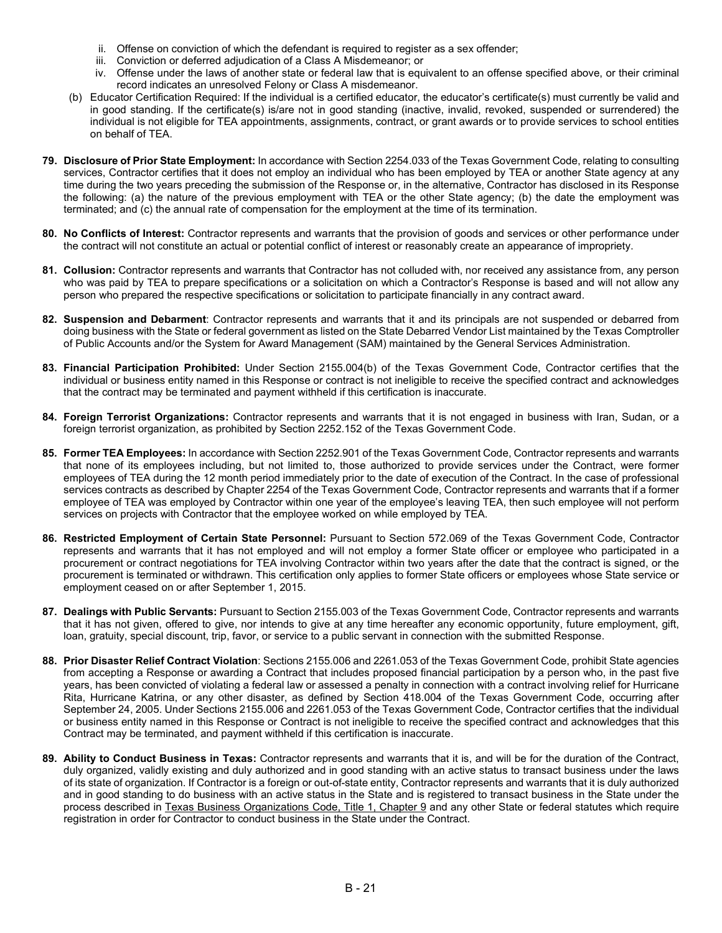- ii. Offense on conviction of which the defendant is required to register as a sex offender;
- iii. Conviction or deferred adjudication of a Class A Misdemeanor; or
- iv. Offense under the laws of another state or federal law that is equivalent to an offense specified above, or their criminal record indicates an unresolved Felony or Class A misdemeanor.
- (b) Educator Certification Required: If the individual is a certified educator, the educator's certificate(s) must currently be valid and in good standing. If the certificate(s) is/are not in good standing (inactive, invalid, revoked, suspended or surrendered) the individual is not eligible for TEA appointments, assignments, contract, or grant awards or to provide services to school entities on behalf of TEA.
- **79. Disclosure of Prior State Employment:** In accordance wit[h Section 2254.033 of the Texas Government Code,](https://statutes.capitol.texas.gov/Docs/GV/htm/GV.2254.htm#2254.033) relating to consulting services, Contractor certifies that it does not employ an individual who has been employed by TEA or another State agency at any time during the two years preceding the submission of the Response or, in the alternative, Contractor has disclosed in its Response the following: (a) the nature of the previous employment with TEA or the other State agency; (b) the date the employment was terminated; and (c) the annual rate of compensation for the employment at the time of its termination.
- **80. No Conflicts of Interest:** Contractor represents and warrants that the provision of goods and services or other performance under the contract will not constitute an actual or potential conflict of interest or reasonably create an appearance of impropriety.
- **81. Collusion:** Contractor represents and warrants that Contractor has not colluded with, nor received any assistance from, any person who was paid by TEA to prepare specifications or a solicitation on which a Contractor's Response is based and will not allow any person who prepared the respective specifications or solicitation to participate financially in any contract award.
- **82. Suspension and Debarment**: Contractor represents and warrants that it and its principals are not suspended or debarred from doing business with the State or federal government as listed on the State Debarred Vendor List maintained by the Texas Comptroller of Public Accounts and/or the System for Award Management (SAM) maintained by the General Services Administration.
- **83. Financial Participation Prohibited:** Under Section 2155.004(b) of the Texas Government Code, Contractor certifies that the individual or business entity named in this Response or contract is not ineligible to receive the specified contract and acknowledges that the contract may be terminated and payment withheld if this certification is inaccurate.
- **84. Foreign Terrorist Organizations:** Contractor represents and warrants that it is not engaged in business with Iran, Sudan, or a foreign terrorist organization, as prohibited by Section 2252.152 of the Texas Government Code.
- **85. Former TEA Employees:** In accordance with Section 2252.901 of the Texas Government Code, Contractor represents and warrants that none of its employees including, but not limited to, those authorized to provide services under the Contract, were former employees of TEA during the 12 month period immediately prior to the date of execution of the Contract. In the case of professional services contracts as described by Chapter 2254 of the Texas Government Code, Contractor represents and warrants that if a former employee of TEA was employed by Contractor within one year of the employee's leaving TEA, then such employee will not perform services on projects with Contractor that the employee worked on while employed by TEA.
- **86. Restricted Employment of Certain State Personnel:** Pursuant to Section 572.069 of the Texas Government Code, Contractor represents and warrants that it has not employed and will not employ a former State officer or employee who participated in a procurement or contract negotiations for TEA involving Contractor within two years after the date that the contract is signed, or the procurement is terminated or withdrawn. This certification only applies to former State officers or employees whose State service or employment ceased on or after September 1, 2015.
- **87. Dealings with Public Servants:** Pursuant to Section 2155.003 of the Texas Government Code, Contractor represents and warrants that it has not given, offered to give, nor intends to give at any time hereafter any economic opportunity, future employment, gift, loan, gratuity, special discount, trip, favor, or service to a public servant in connection with the submitted Response.
- **88. Prior Disaster Relief Contract Violation**: Sections 2155.006 and 2261.053 of the Texas Government Code, prohibit State agencies from accepting a Response or awarding a Contract that includes proposed financial participation by a person who, in the past five years, has been convicted of violating a federal law or assessed a penalty in connection with a contract involving relief for Hurricane Rita, Hurricane Katrina, or any other disaster, as defined by Section 418.004 of the Texas Government Code, occurring after September 24, 2005. Under Sections 2155.006 and 2261.053 of the Texas Government Code, Contractor certifies that the individual or business entity named in this Response or Contract is not ineligible to receive the specified contract and acknowledges that this Contract may be terminated, and payment withheld if this certification is inaccurate.
- **89. Ability to Conduct Business in Texas:** Contractor represents and warrants that it is, and will be for the duration of the Contract, duly organized, validly existing and duly authorized and in good standing with an active status to transact business under the laws of its state of organization. If Contractor is a foreign or out-of-state entity, Contractor represents and warrants that it is duly authorized and in good standing to do business with an active status in the State and is registered to transact business in the State under the process described in [Texas Business Organizations Code, Title 1, Chapter 9](https://statutes.capitol.texas.gov/Docs/BO/htm/BO.9.htm) and any other State or federal statutes which require registration in order for Contractor to conduct business in the State under the Contract.